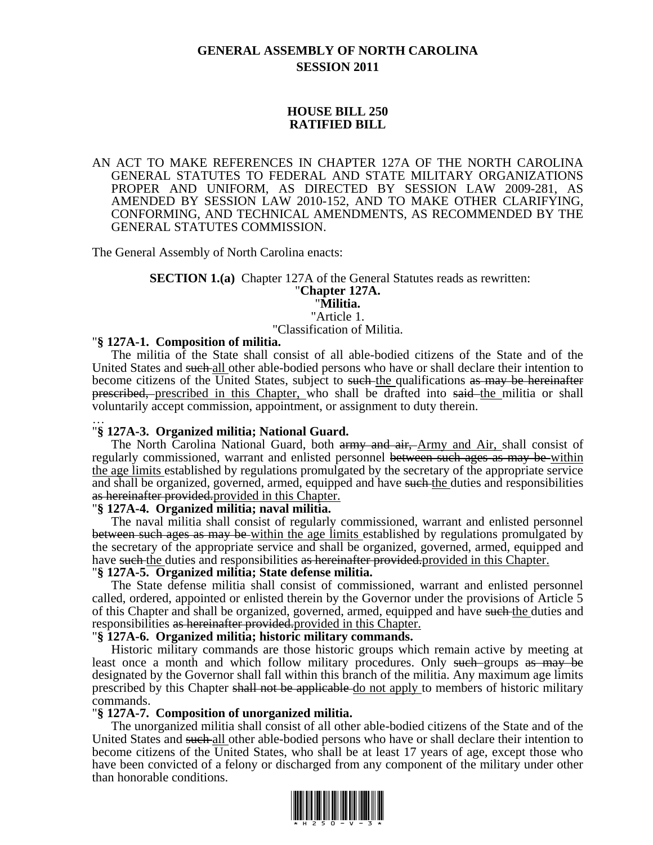# **GENERAL ASSEMBLY OF NORTH CAROLINA SESSION 2011**

## **HOUSE BILL 250 RATIFIED BILL**

AN ACT TO MAKE REFERENCES IN CHAPTER 127A OF THE NORTH CAROLINA GENERAL STATUTES TO FEDERAL AND STATE MILITARY ORGANIZATIONS PROPER AND UNIFORM, AS DIRECTED BY SESSION LAW 2009-281, AS AMENDED BY SESSION LAW 2010-152, AND TO MAKE OTHER CLARIFYING, CONFORMING, AND TECHNICAL AMENDMENTS, AS RECOMMENDED BY THE GENERAL STATUTES COMMISSION.

The General Assembly of North Carolina enacts:

# **SECTION 1.(a)** Chapter 127A of the General Statutes reads as rewritten: "**Chapter 127A.**

#### "**Militia.** "Article 1.

"Classification of Militia.

### "**§ 127A-1. Composition of militia.**

The militia of the State shall consist of all able-bodied citizens of the State and of the United States and such all other able-bodied persons who have or shall declare their intention to become citizens of the United States, subject to such the qualifications as may be hereinafter prescribed, prescribed in this Chapter, who shall be drafted into said the militia or shall voluntarily accept commission, appointment, or assignment to duty therein.

### … "**§ 127A-3. Organized militia; National Guard.**

The North Carolina National Guard, both army and air, Army and Air, shall consist of regularly commissioned, warrant and enlisted personnel between such ages as may be within the age limits established by regulations promulgated by the secretary of the appropriate service and shall be organized, governed, armed, equipped and have such the duties and responsibilities as hereinafter provided.provided in this Chapter.

#### "**§ 127A-4. Organized militia; naval militia.**

The naval militia shall consist of regularly commissioned, warrant and enlisted personnel between such ages as may be within the age limits established by regulations promulgated by the secretary of the appropriate service and shall be organized, governed, armed, equipped and have such the duties and responsibilities as hereinafter provided, provided in this Chapter.

### "**§ 127A-5. Organized militia; State defense militia.**

The State defense militia shall consist of commissioned, warrant and enlisted personnel called, ordered, appointed or enlisted therein by the Governor under the provisions of Article 5 of this Chapter and shall be organized, governed, armed, equipped and have such the duties and responsibilities as hereinafter provided.provided in this Chapter.

#### "**§ 127A-6. Organized militia; historic military commands.**

Historic military commands are those historic groups which remain active by meeting at least once a month and which follow military procedures. Only such groups as may be designated by the Governor shall fall within this branch of the militia. Any maximum age limits prescribed by this Chapter shall not be applicable do not apply to members of historic military commands.

#### "**§ 127A-7. Composition of unorganized militia.**

The unorganized militia shall consist of all other able-bodied citizens of the State and of the United States and such all other able-bodied persons who have or shall declare their intention to become citizens of the United States, who shall be at least 17 years of age, except those who have been convicted of a felony or discharged from any component of the military under other than honorable conditions.

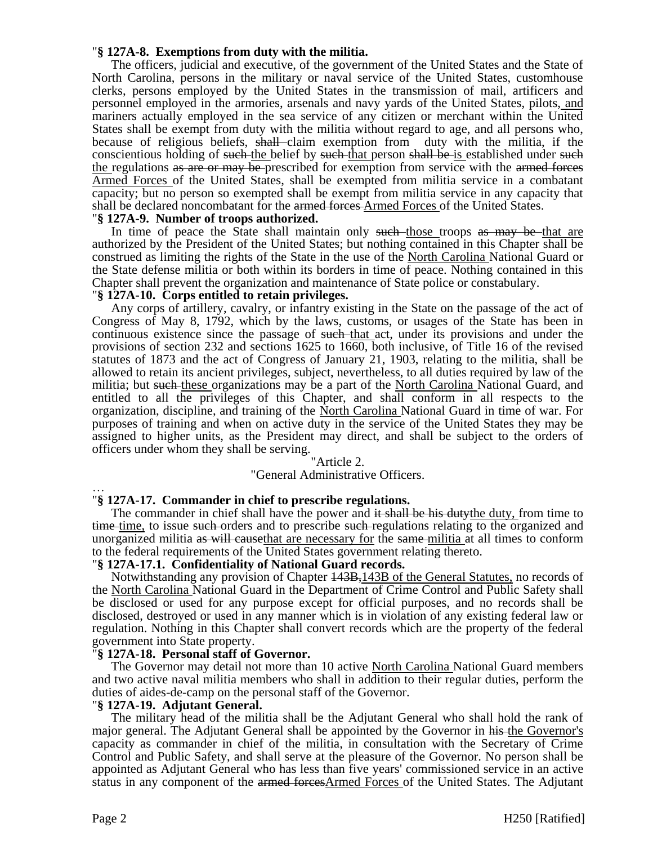## "**§ 127A-8. Exemptions from duty with the militia.**

The officers, judicial and executive, of the government of the United States and the State of North Carolina, persons in the military or naval service of the United States, customhouse clerks, persons employed by the United States in the transmission of mail, artificers and personnel employed in the armories, arsenals and navy yards of the United States, pilots, and mariners actually employed in the sea service of any citizen or merchant within the United States shall be exempt from duty with the militia without regard to age, and all persons who, because of religious beliefs, shall claim exemption from duty with the militia, if the conscientious holding of such the belief by such that person shall be is established under such the regulations as are or may be prescribed for exemption from service with the armed forces Armed Forces of the United States, shall be exempted from militia service in a combatant capacity; but no person so exempted shall be exempt from militia service in any capacity that shall be declared noncombatant for the armed forces Armed Forces of the United States.

## "**§ 127A-9. Number of troops authorized.**

In time of peace the State shall maintain only such those troops as may be that are authorized by the President of the United States; but nothing contained in this Chapter shall be construed as limiting the rights of the State in the use of the North Carolina National Guard or the State defense militia or both within its borders in time of peace. Nothing contained in this Chapter shall prevent the organization and maintenance of State police or constabulary.

## "**§ 127A-10. Corps entitled to retain privileges.**

Any corps of artillery, cavalry, or infantry existing in the State on the passage of the act of Congress of May 8, 1792, which by the laws, customs, or usages of the State has been in continuous existence since the passage of such that act, under its provisions and under the provisions of section 232 and sections 1625 to 1660, both inclusive, of Title 16 of the revised statutes of 1873 and the act of Congress of January 21, 1903, relating to the militia, shall be allowed to retain its ancient privileges, subject, nevertheless, to all duties required by law of the militia; but such these organizations may be a part of the North Carolina National Guard, and entitled to all the privileges of this Chapter, and shall conform in all respects to the organization, discipline, and training of the North Carolina National Guard in time of war. For purposes of training and when on active duty in the service of the United States they may be assigned to higher units, as the President may direct, and shall be subject to the orders of officers under whom they shall be serving.

## "Article 2.

## "General Administrative Officers.

#### … "**§ 127A-17. Commander in chief to prescribe regulations.**

The commander in chief shall have the power and it shall be his dutythe duty, from time to time time, to issue such orders and to prescribe such regulations relating to the organized and unorganized militia as will cause that are necessary for the same-militia at all times to conform to the federal requirements of the United States government relating thereto.

## "**§ 127A-17.1. Confidentiality of National Guard records.**

Notwithstanding any provision of Chapter  $\frac{143B}{143B}$  of the General Statutes, no records of the North Carolina National Guard in the Department of Crime Control and Public Safety shall be disclosed or used for any purpose except for official purposes, and no records shall be disclosed, destroyed or used in any manner which is in violation of any existing federal law or regulation. Nothing in this Chapter shall convert records which are the property of the federal government into State property.

## "**§ 127A-18. Personal staff of Governor.**

The Governor may detail not more than 10 active North Carolina National Guard members and two active naval militia members who shall in addition to their regular duties, perform the duties of aides-de-camp on the personal staff of the Governor.

#### "**§ 127A-19. Adjutant General.**

The military head of the militia shall be the Adjutant General who shall hold the rank of major general. The Adjutant General shall be appointed by the Governor in his the Governor's capacity as commander in chief of the militia, in consultation with the Secretary of Crime Control and Public Safety, and shall serve at the pleasure of the Governor. No person shall be appointed as Adjutant General who has less than five years' commissioned service in an active status in any component of the armed forcesArmed Forces of the United States. The Adjutant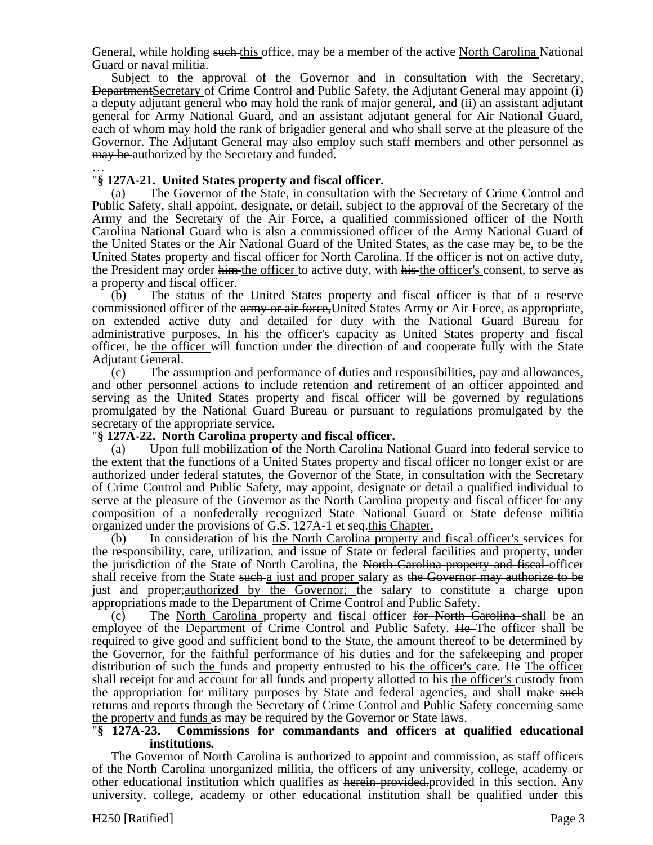General, while holding such this office, may be a member of the active North Carolina National Guard or naval militia.

Subject to the approval of the Governor and in consultation with the Secretary. DepartmentSecretary of Crime Control and Public Safety, the Adjutant General may appoint (i) a deputy adjutant general who may hold the rank of major general, and (ii) an assistant adjutant general for Army National Guard, and an assistant adjutant general for Air National Guard, each of whom may hold the rank of brigadier general and who shall serve at the pleasure of the Governor. The Adjutant General may also employ such staff members and other personnel as may be authorized by the Secretary and funded.

### … "**§ 127A-21. United States property and fiscal officer.**

(a) The Governor of the State, in consultation with the Secretary of Crime Control and Public Safety, shall appoint, designate, or detail, subject to the approval of the Secretary of the Army and the Secretary of the Air Force, a qualified commissioned officer of the North Carolina National Guard who is also a commissioned officer of the Army National Guard of the United States or the Air National Guard of the United States, as the case may be, to be the United States property and fiscal officer for North Carolina. If the officer is not on active duty, the President may order him the officer to active duty, with his the officer's consent, to serve as a property and fiscal officer.

(b) The status of the United States property and fiscal officer is that of a reserve commissioned officer of the army or air force, United States Army or Air Force, as appropriate, on extended active duty and detailed for duty with the National Guard Bureau for administrative purposes. In his the officer's capacity as United States property and fiscal officer, he the officer will function under the direction of and cooperate fully with the State Adjutant General.

(c) The assumption and performance of duties and responsibilities, pay and allowances, and other personnel actions to include retention and retirement of an officer appointed and serving as the United States property and fiscal officer will be governed by regulations promulgated by the National Guard Bureau or pursuant to regulations promulgated by the secretary of the appropriate service.

## "**§ 127A-22. North Carolina property and fiscal officer.**

(a) Upon full mobilization of the North Carolina National Guard into federal service to the extent that the functions of a United States property and fiscal officer no longer exist or are authorized under federal statutes, the Governor of the State, in consultation with the Secretary of Crime Control and Public Safety, may appoint, designate or detail a qualified individual to serve at the pleasure of the Governor as the North Carolina property and fiscal officer for any composition of a nonfederally recognized State National Guard or State defense militia organized under the provisions of G.S. 127A-1 et seq.this Chapter.

(b) In consideration of his the North Carolina property and fiscal officer's services for the responsibility, care, utilization, and issue of State or federal facilities and property, under the jurisdiction of the State of North Carolina, the North Carolina property and fiscal officer shall receive from the State such a just and proper salary as the Governor may authorize to be just and proper; authorized by the Governor; the salary to constitute a charge upon appropriations made to the Department of Crime Control and Public Safety.

(c) The North Carolina property and fiscal officer for North Carolina shall be an employee of the Department of Crime Control and Public Safety. He The officer shall be required to give good and sufficient bond to the State, the amount thereof to be determined by the Governor, for the faithful performance of his duties and for the safekeeping and proper distribution of such the funds and property entrusted to his the officer's care. He The officer shall receipt for and account for all funds and property allotted to his the officer's custody from the appropriation for military purposes by State and federal agencies, and shall make such returns and reports through the Secretary of Crime Control and Public Safety concerning same the property and funds as may be required by the Governor or State laws.

## "**§ 127A-23. Commissions for commandants and officers at qualified educational institutions.**

The Governor of North Carolina is authorized to appoint and commission, as staff officers of the North Carolina unorganized militia, the officers of any university, college, academy or other educational institution which qualifies as herein provided.provided in this section. Any university, college, academy or other educational institution shall be qualified under this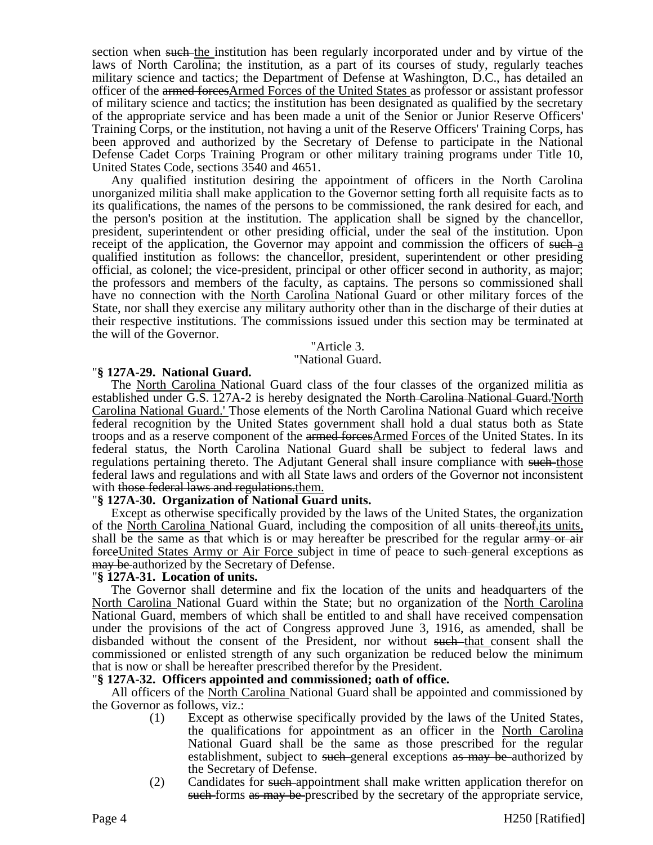section when such the institution has been regularly incorporated under and by virtue of the laws of North Carolina; the institution, as a part of its courses of study, regularly teaches military science and tactics; the Department of Defense at Washington, D.C., has detailed an officer of the armed forcesArmed Forces of the United States as professor or assistant professor of military science and tactics; the institution has been designated as qualified by the secretary of the appropriate service and has been made a unit of the Senior or Junior Reserve Officers' Training Corps, or the institution, not having a unit of the Reserve Officers' Training Corps, has been approved and authorized by the Secretary of Defense to participate in the National Defense Cadet Corps Training Program or other military training programs under Title 10, United States Code, sections 3540 and 4651.

Any qualified institution desiring the appointment of officers in the North Carolina unorganized militia shall make application to the Governor setting forth all requisite facts as to its qualifications, the names of the persons to be commissioned, the rank desired for each, and the person's position at the institution. The application shall be signed by the chancellor, president, superintendent or other presiding official, under the seal of the institution. Upon receipt of the application, the Governor may appoint and commission the officers of such a qualified institution as follows: the chancellor, president, superintendent or other presiding official, as colonel; the vice-president, principal or other officer second in authority, as major; the professors and members of the faculty, as captains. The persons so commissioned shall have no connection with the North Carolina National Guard or other military forces of the State, nor shall they exercise any military authority other than in the discharge of their duties at their respective institutions. The commissions issued under this section may be terminated at the will of the Governor.

#### "Article 3.

### "National Guard.

## "**§ 127A-29. National Guard.**

The North Carolina National Guard class of the four classes of the organized militia as established under G.S. 127A-2 is hereby designated the North Carolina National Guard.'North Carolina National Guard.' Those elements of the North Carolina National Guard which receive federal recognition by the United States government shall hold a dual status both as State troops and as a reserve component of the armed forcesArmed Forces of the United States. In its federal status, the North Carolina National Guard shall be subject to federal laws and regulations pertaining thereto. The Adjutant General shall insure compliance with such those federal laws and regulations and with all State laws and orders of the Governor not inconsistent with those federal laws and regulations them.

## "**§ 127A-30. Organization of National Guard units.**

Except as otherwise specifically provided by the laws of the United States, the organization of the North Carolina National Guard, including the composition of all units thereof-its units, shall be the same as that which is or may hereafter be prescribed for the regular army or air forceUnited States Army or Air Force subject in time of peace to such general exceptions as may be authorized by the Secretary of Defense.

## "**§ 127A-31. Location of units.**

The Governor shall determine and fix the location of the units and headquarters of the North Carolina National Guard within the State; but no organization of the North Carolina National Guard, members of which shall be entitled to and shall have received compensation under the provisions of the act of Congress approved June 3, 1916, as amended, shall be disbanded without the consent of the President, nor without such that consent shall the commissioned or enlisted strength of any such organization be reduced below the minimum that is now or shall be hereafter prescribed therefor by the President.

## "**§ 127A-32. Officers appointed and commissioned; oath of office.**

All officers of the North Carolina National Guard shall be appointed and commissioned by the Governor as follows, viz.:

- (1) Except as otherwise specifically provided by the laws of the United States, the qualifications for appointment as an officer in the North Carolina National Guard shall be the same as those prescribed for the regular establishment, subject to such general exceptions as may be authorized by the Secretary of Defense.
- (2) Candidates for such appointment shall make written application therefor on such forms as may be prescribed by the secretary of the appropriate service,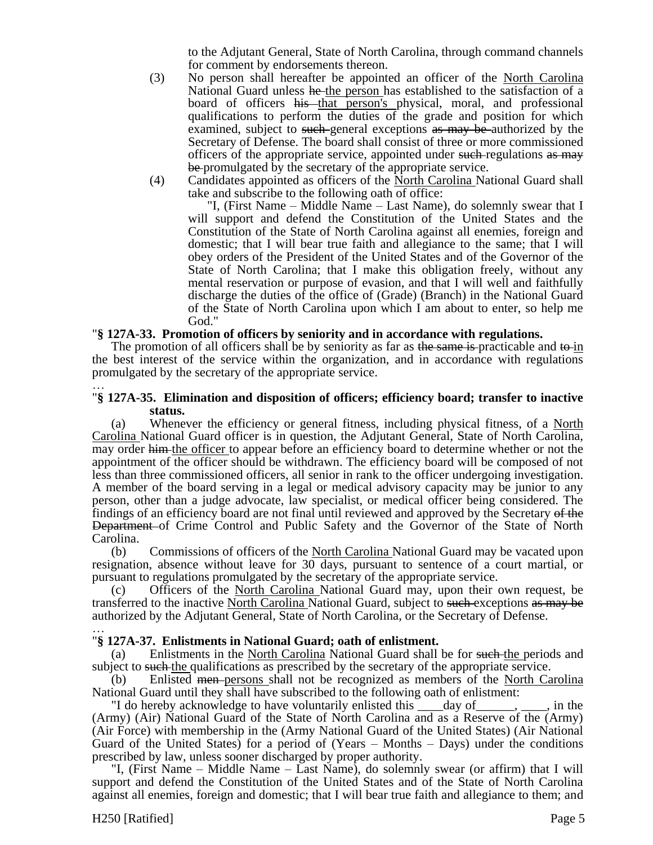to the Adjutant General, State of North Carolina, through command channels for comment by endorsements thereon.

- (3) No person shall hereafter be appointed an officer of the North Carolina National Guard unless he the person has established to the satisfaction of a board of officers his that person's physical, moral, and professional qualifications to perform the duties of the grade and position for which examined, subject to such general exceptions as may be authorized by the Secretary of Defense. The board shall consist of three or more commissioned officers of the appropriate service, appointed under such regulations as may be promulgated by the secretary of the appropriate service.
- (4) Candidates appointed as officers of the North Carolina National Guard shall take and subscribe to the following oath of office:

"I, (First Name – Middle Name – Last Name), do solemnly swear that I will support and defend the Constitution of the United States and the Constitution of the State of North Carolina against all enemies, foreign and domestic; that I will bear true faith and allegiance to the same; that I will obey orders of the President of the United States and of the Governor of the State of North Carolina; that I make this obligation freely, without any mental reservation or purpose of evasion, and that I will well and faithfully discharge the duties of the office of (Grade) (Branch) in the National Guard of the State of North Carolina upon which I am about to enter, so help me God."

### "**§ 127A-33. Promotion of officers by seniority and in accordance with regulations.**

The promotion of all officers shall be by seniority as far as the same is-practicable and to-in the best interest of the service within the organization, and in accordance with regulations promulgated by the secretary of the appropriate service.

#### … "**§ 127A-35. Elimination and disposition of officers; efficiency board; transfer to inactive status.**

(a) Whenever the efficiency or general fitness, including physical fitness, of a North Carolina National Guard officer is in question, the Adjutant General, State of North Carolina, may order him the officer to appear before an efficiency board to determine whether or not the appointment of the officer should be withdrawn. The efficiency board will be composed of not less than three commissioned officers, all senior in rank to the officer undergoing investigation. A member of the board serving in a legal or medical advisory capacity may be junior to any person, other than a judge advocate, law specialist, or medical officer being considered. The findings of an efficiency board are not final until reviewed and approved by the Secretary of the Department of Crime Control and Public Safety and the Governor of the State of North Carolina.

(b) Commissions of officers of the North Carolina National Guard may be vacated upon resignation, absence without leave for 30 days, pursuant to sentence of a court martial, or pursuant to regulations promulgated by the secretary of the appropriate service.

(c) Officers of the North Carolina National Guard may, upon their own request, be transferred to the inactive North Carolina National Guard, subject to such exceptions as may be authorized by the Adjutant General, State of North Carolina, or the Secretary of Defense.

#### … "**§ 127A-37. Enlistments in National Guard; oath of enlistment.**

(a) Enlistments in the North Carolina National Guard shall be for such the periods and subject to such the qualifications as prescribed by the secretary of the appropriate service.

(b) Enlisted men persons shall not be recognized as members of the North Carolina National Guard until they shall have subscribed to the following oath of enlistment:

"I do hereby acknowledge to have voluntarily enlisted this  $\qquad \text{day of} \qquad \qquad$ ,  $\qquad$ , in the (Army) (Air) National Guard of the State of North Carolina and as a Reserve of the (Army) (Air Force) with membership in the (Army National Guard of the United States) (Air National Guard of the United States) for a period of (Years – Months – Days) under the conditions prescribed by law, unless sooner discharged by proper authority.

"I, (First Name – Middle Name – Last Name), do solemnly swear (or affirm) that I will support and defend the Constitution of the United States and of the State of North Carolina against all enemies, foreign and domestic; that I will bear true faith and allegiance to them; and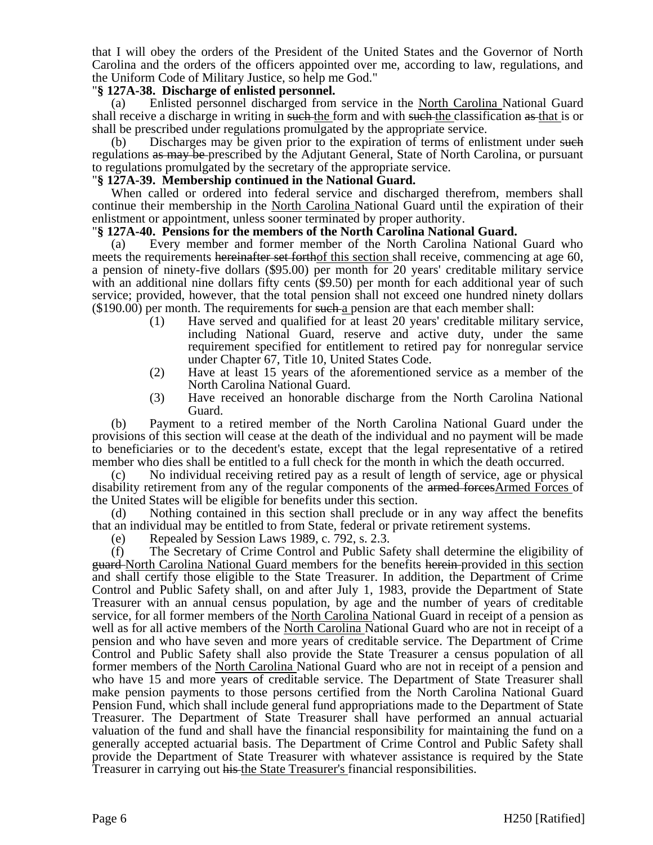that I will obey the orders of the President of the United States and the Governor of North Carolina and the orders of the officers appointed over me, according to law, regulations, and the Uniform Code of Military Justice, so help me God."

## "**§ 127A-38. Discharge of enlisted personnel.**

(a) Enlisted personnel discharged from service in the North Carolina National Guard shall receive a discharge in writing in such the form and with such the classification as that is or shall be prescribed under regulations promulgated by the appropriate service.

(b) Discharges may be given prior to the expiration of terms of enlistment under such regulations as may be prescribed by the Adjutant General, State of North Carolina, or pursuant to regulations promulgated by the secretary of the appropriate service.

## "**§ 127A-39. Membership continued in the National Guard.**

When called or ordered into federal service and discharged therefrom, members shall continue their membership in the North Carolina National Guard until the expiration of their enlistment or appointment, unless sooner terminated by proper authority.

## "**§ 127A-40. Pensions for the members of the North Carolina National Guard.**

(a) Every member and former member of the North Carolina National Guard who meets the requirements hereinafter set forthof this section shall receive, commencing at age 60, a pension of ninety-five dollars (\$95.00) per month for 20 years' creditable military service with an additional nine dollars fifty cents (\$9.50) per month for each additional year of such service; provided, however, that the total pension shall not exceed one hundred ninety dollars  $($190.00)$  per month. The requirements for such a pension are that each member shall:

- (1) Have served and qualified for at least 20 years' creditable military service, including National Guard, reserve and active duty, under the same requirement specified for entitlement to retired pay for nonregular service under Chapter 67, Title 10, United States Code.
- (2) Have at least 15 years of the aforementioned service as a member of the North Carolina National Guard.
- (3) Have received an honorable discharge from the North Carolina National Guard.

(b) Payment to a retired member of the North Carolina National Guard under the provisions of this section will cease at the death of the individual and no payment will be made to beneficiaries or to the decedent's estate, except that the legal representative of a retired member who dies shall be entitled to a full check for the month in which the death occurred.

(c) No individual receiving retired pay as a result of length of service, age or physical disability retirement from any of the regular components of the armed forcesArmed Forces of the United States will be eligible for benefits under this section.

(d) Nothing contained in this section shall preclude or in any way affect the benefits that an individual may be entitled to from State, federal or private retirement systems.

(e) Repealed by Session Laws 1989, c. 792, s. 2.3.

(f) The Secretary of Crime Control and Public Safety shall determine the eligibility of guard North Carolina National Guard members for the benefits herein provided in this section and shall certify those eligible to the State Treasurer. In addition, the Department of Crime Control and Public Safety shall, on and after July 1, 1983, provide the Department of State Treasurer with an annual census population, by age and the number of years of creditable service, for all former members of the North Carolina National Guard in receipt of a pension as well as for all active members of the North Carolina National Guard who are not in receipt of a pension and who have seven and more years of creditable service. The Department of Crime Control and Public Safety shall also provide the State Treasurer a census population of all former members of the North Carolina National Guard who are not in receipt of a pension and who have 15 and more years of creditable service. The Department of State Treasurer shall make pension payments to those persons certified from the North Carolina National Guard Pension Fund, which shall include general fund appropriations made to the Department of State Treasurer. The Department of State Treasurer shall have performed an annual actuarial valuation of the fund and shall have the financial responsibility for maintaining the fund on a generally accepted actuarial basis. The Department of Crime Control and Public Safety shall provide the Department of State Treasurer with whatever assistance is required by the State Treasurer in carrying out his the State Treasurer's financial responsibilities.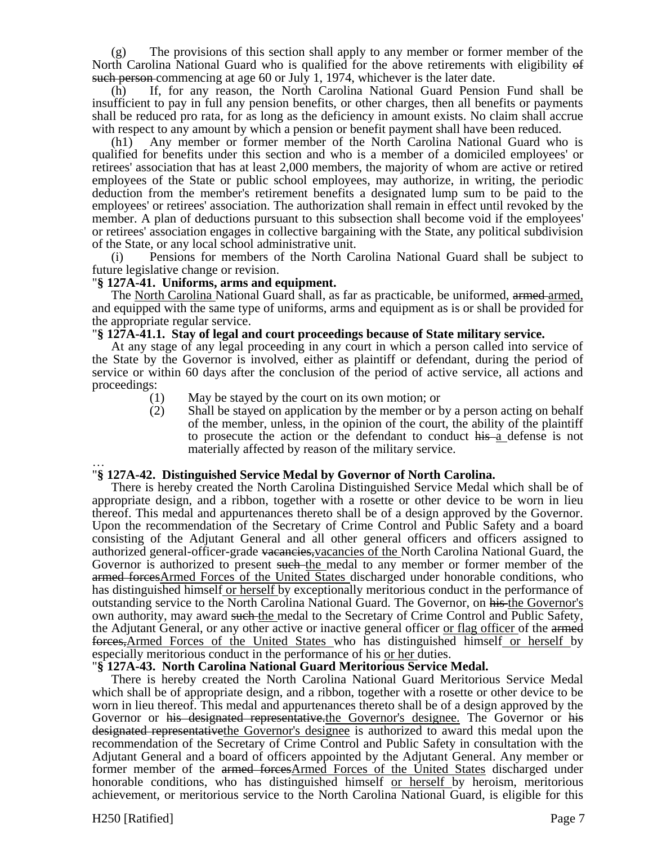(g) The provisions of this section shall apply to any member or former member of the North Carolina National Guard who is qualified for the above retirements with eligibility of such person commencing at age 60 or July 1, 1974, whichever is the later date.

(h) If, for any reason, the North Carolina National Guard Pension Fund shall be insufficient to pay in full any pension benefits, or other charges, then all benefits or payments shall be reduced pro rata, for as long as the deficiency in amount exists. No claim shall accrue with respect to any amount by which a pension or benefit payment shall have been reduced.

(h1) Any member or former member of the North Carolina National Guard who is qualified for benefits under this section and who is a member of a domiciled employees' or retirees' association that has at least 2,000 members, the majority of whom are active or retired employees of the State or public school employees, may authorize, in writing, the periodic deduction from the member's retirement benefits a designated lump sum to be paid to the employees' or retirees' association. The authorization shall remain in effect until revoked by the member. A plan of deductions pursuant to this subsection shall become void if the employees' or retirees' association engages in collective bargaining with the State, any political subdivision of the State, or any local school administrative unit.

(i) Pensions for members of the North Carolina National Guard shall be subject to future legislative change or revision.

### "**§ 127A-41. Uniforms, arms and equipment.**

The North Carolina National Guard shall, as far as practicable, be uniformed, armed armed, and equipped with the same type of uniforms, arms and equipment as is or shall be provided for the appropriate regular service.

## "**§ 127A-41.1. Stay of legal and court proceedings because of State military service.**

At any stage of any legal proceeding in any court in which a person called into service of the State by the Governor is involved, either as plaintiff or defendant, during the period of service or within 60 days after the conclusion of the period of active service, all actions and proceedings:

- (1) May be stayed by the court on its own motion; or
- (2) Shall be stayed on application by the member or by a person acting on behalf of the member, unless, in the opinion of the court, the ability of the plaintiff to prosecute the action or the defendant to conduct his a defense is not materially affected by reason of the military service.

### … "**§ 127A-42. Distinguished Service Medal by Governor of North Carolina.**

There is hereby created the North Carolina Distinguished Service Medal which shall be of appropriate design, and a ribbon, together with a rosette or other device to be worn in lieu thereof. This medal and appurtenances thereto shall be of a design approved by the Governor. Upon the recommendation of the Secretary of Crime Control and Public Safety and a board consisting of the Adjutant General and all other general officers and officers assigned to authorized general-officer-grade vacancies, vacancies of the North Carolina National Guard, the Governor is authorized to present such the medal to any member or former member of the armed forcesArmed Forces of the United States discharged under honorable conditions, who has distinguished himself or herself by exceptionally meritorious conduct in the performance of outstanding service to the North Carolina National Guard. The Governor, on his the Governor's own authority, may award such the medal to the Secretary of Crime Control and Public Safety, the Adjutant General, or any other active or inactive general officer or flag officer of the armed forces,Armed Forces of the United States who has distinguished himself or herself by especially meritorious conduct in the performance of his or her duties.

#### "**§ 127A-43. North Carolina National Guard Meritorious Service Medal.**

There is hereby created the North Carolina National Guard Meritorious Service Medal which shall be of appropriate design, and a ribbon, together with a rosette or other device to be worn in lieu thereof. This medal and appurtenances thereto shall be of a design approved by the Governor or his designated representative. the Governor's designee. The Governor or his designated representativethe Governor's designee is authorized to award this medal upon the recommendation of the Secretary of Crime Control and Public Safety in consultation with the Adjutant General and a board of officers appointed by the Adjutant General. Any member or former member of the armed forcesArmed Forces of the United States discharged under honorable conditions, who has distinguished himself or herself by heroism, meritorious achievement, or meritorious service to the North Carolina National Guard, is eligible for this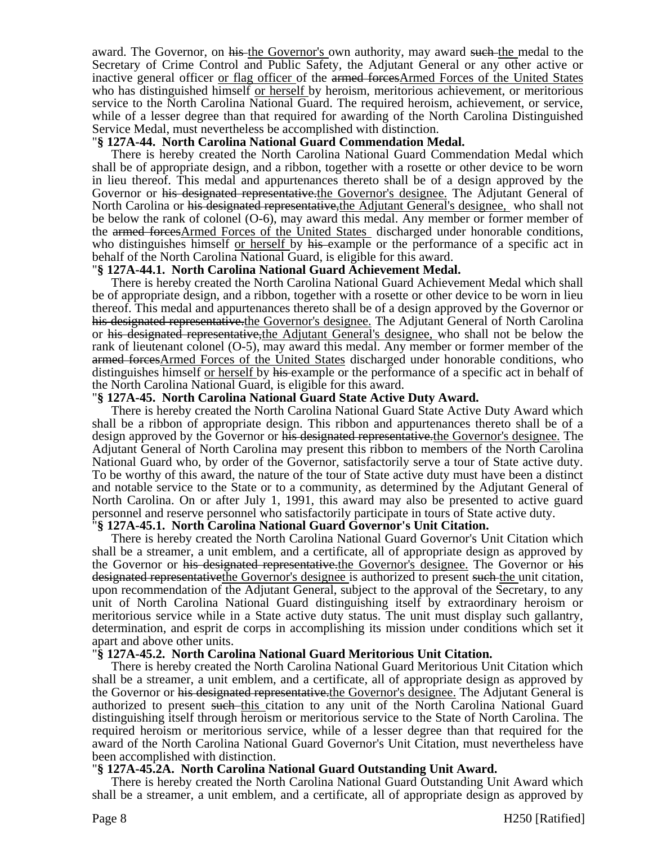award. The Governor, on his the Governor's own authority, may award such the medal to the Secretary of Crime Control and Public Safety, the Adjutant General or any other active or inactive general officer or flag officer of the armed forcesArmed Forces of the United States who has distinguished himself or herself by heroism, meritorious achievement, or meritorious service to the North Carolina National Guard. The required heroism, achievement, or service, while of a lesser degree than that required for awarding of the North Carolina Distinguished Service Medal, must nevertheless be accomplished with distinction.

## "**§ 127A-44. North Carolina National Guard Commendation Medal.**

There is hereby created the North Carolina National Guard Commendation Medal which shall be of appropriate design, and a ribbon, together with a rosette or other device to be worn in lieu thereof. This medal and appurtenances thereto shall be of a design approved by the Governor or his designated representative.the Governor's designee. The Adjutant General of North Carolina or his designated representative, the Adjutant General's designee, who shall not be below the rank of colonel (O-6), may award this medal. Any member or former member of the armed forcesArmed Forces of the United States discharged under honorable conditions, who distinguishes himself or herself by his example or the performance of a specific act in behalf of the North Carolina National Guard, is eligible for this award.

### "**§ 127A-44.1. North Carolina National Guard Achievement Medal.**

There is hereby created the North Carolina National Guard Achievement Medal which shall be of appropriate design, and a ribbon, together with a rosette or other device to be worn in lieu thereof. This medal and appurtenances thereto shall be of a design approved by the Governor or his designated representative.the Governor's designee. The Adjutant General of North Carolina or his designated representative,the Adjutant General's designee, who shall not be below the rank of lieutenant colonel (O-5), may award this medal. Any member or former member of the armed forcesArmed Forces of the United States discharged under honorable conditions, who distinguishes himself or herself by his example or the performance of a specific act in behalf of the North Carolina National Guard, is eligible for this award.

### "**§ 127A-45. North Carolina National Guard State Active Duty Award.**

There is hereby created the North Carolina National Guard State Active Duty Award which shall be a ribbon of appropriate design. This ribbon and appurtenances thereto shall be of a design approved by the Governor or his designated representative. the Governor's designee. The Adjutant General of North Carolina may present this ribbon to members of the North Carolina National Guard who, by order of the Governor, satisfactorily serve a tour of State active duty. To be worthy of this award, the nature of the tour of State active duty must have been a distinct and notable service to the State or to a community, as determined by the Adjutant General of North Carolina. On or after July 1, 1991, this award may also be presented to active guard personnel and reserve personnel who satisfactorily participate in tours of State active duty.

#### "**§ 127A-45.1. North Carolina National Guard Governor's Unit Citation.**

There is hereby created the North Carolina National Guard Governor's Unit Citation which shall be a streamer, a unit emblem, and a certificate, all of appropriate design as approved by the Governor or his designated representative.the Governor's designee. The Governor or his designated representative the Governor's designee is authorized to present such the unit citation, upon recommendation of the Adjutant General, subject to the approval of the Secretary, to any unit of North Carolina National Guard distinguishing itself by extraordinary heroism or meritorious service while in a State active duty status. The unit must display such gallantry, determination, and esprit de corps in accomplishing its mission under conditions which set it apart and above other units.

#### "**§ 127A-45.2. North Carolina National Guard Meritorious Unit Citation.**

There is hereby created the North Carolina National Guard Meritorious Unit Citation which shall be a streamer, a unit emblem, and a certificate, all of appropriate design as approved by the Governor or his designated representative. the Governor's designee. The Adjutant General is authorized to present such this citation to any unit of the North Carolina National Guard distinguishing itself through heroism or meritorious service to the State of North Carolina. The required heroism or meritorious service, while of a lesser degree than that required for the award of the North Carolina National Guard Governor's Unit Citation, must nevertheless have been accomplished with distinction.

#### "**§ 127A-45.2A. North Carolina National Guard Outstanding Unit Award.**

There is hereby created the North Carolina National Guard Outstanding Unit Award which shall be a streamer, a unit emblem, and a certificate, all of appropriate design as approved by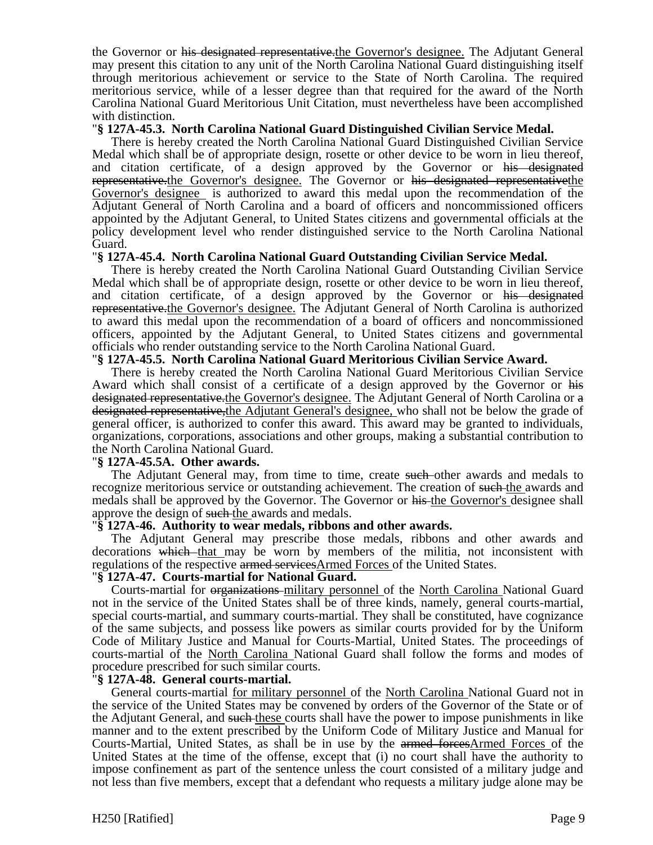the Governor or his designated representative.the Governor's designee. The Adjutant General may present this citation to any unit of the North Carolina National Guard distinguishing itself through meritorious achievement or service to the State of North Carolina. The required meritorious service, while of a lesser degree than that required for the award of the North Carolina National Guard Meritorious Unit Citation, must nevertheless have been accomplished with distinction.

### "**§ 127A-45.3. North Carolina National Guard Distinguished Civilian Service Medal.**

There is hereby created the North Carolina National Guard Distinguished Civilian Service Medal which shall be of appropriate design, rosette or other device to be worn in lieu thereof, and citation certificate, of a design approved by the Governor or his designated representative.the Governor's designee. The Governor or his designated representativethe Governor's designee is authorized to award this medal upon the recommendation of the Adjutant General of North Carolina and a board of officers and noncommissioned officers appointed by the Adjutant General, to United States citizens and governmental officials at the policy development level who render distinguished service to the North Carolina National Guard.

## "**§ 127A-45.4. North Carolina National Guard Outstanding Civilian Service Medal.**

There is hereby created the North Carolina National Guard Outstanding Civilian Service Medal which shall be of appropriate design, rosette or other device to be worn in lieu thereof, and citation certificate, of a design approved by the Governor or his designated representative.the Governor's designee. The Adjutant General of North Carolina is authorized to award this medal upon the recommendation of a board of officers and noncommissioned officers, appointed by the Adjutant General, to United States citizens and governmental officials who render outstanding service to the North Carolina National Guard.

## "**§ 127A-45.5. North Carolina National Guard Meritorious Civilian Service Award.**

There is hereby created the North Carolina National Guard Meritorious Civilian Service Award which shall consist of a certificate of a design approved by the Governor or his designated representative.the Governor's designee. The Adjutant General of North Carolina or a designated representative, the Adjutant General's designee, who shall not be below the grade of general officer, is authorized to confer this award. This award may be granted to individuals, organizations, corporations, associations and other groups, making a substantial contribution to the North Carolina National Guard.

#### "**§ 127A-45.5A. Other awards.**

The Adjutant General may, from time to time, create such other awards and medals to recognize meritorious service or outstanding achievement. The creation of such the awards and medals shall be approved by the Governor. The Governor or his the Governor's designee shall approve the design of such-the awards and medals.

#### "**§ 127A-46. Authority to wear medals, ribbons and other awards.**

The Adjutant General may prescribe those medals, ribbons and other awards and decorations which that may be worn by members of the militia, not inconsistent with regulations of the respective armed servicesArmed Forces of the United States.

## "**§ 127A-47. Courts-martial for National Guard.**

Courts-martial for organizations-military personnel of the North Carolina National Guard not in the service of the United States shall be of three kinds, namely, general courts-martial, special courts-martial, and summary courts-martial. They shall be constituted, have cognizance of the same subjects, and possess like powers as similar courts provided for by the Uniform Code of Military Justice and Manual for Courts-Martial, United States. The proceedings of courts-martial of the North Carolina National Guard shall follow the forms and modes of procedure prescribed for such similar courts.

## "**§ 127A-48. General courts-martial.**

General courts-martial for military personnel of the North Carolina National Guard not in the service of the United States may be convened by orders of the Governor of the State or of the Adjutant General, and such these courts shall have the power to impose punishments in like manner and to the extent prescribed by the Uniform Code of Military Justice and Manual for Courts-Martial, United States, as shall be in use by the armed forcesArmed Forces of the United States at the time of the offense, except that (i) no court shall have the authority to impose confinement as part of the sentence unless the court consisted of a military judge and not less than five members, except that a defendant who requests a military judge alone may be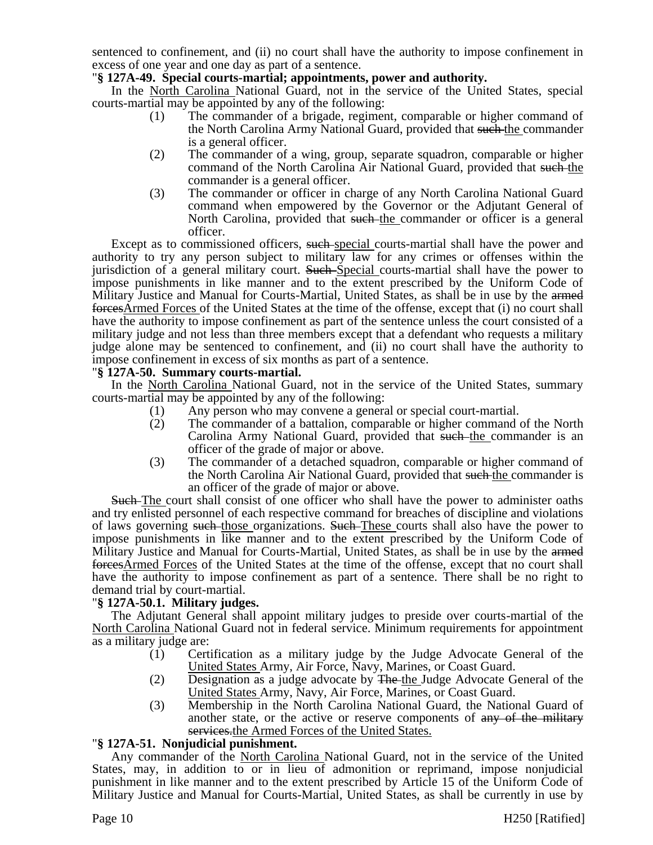sentenced to confinement, and (ii) no court shall have the authority to impose confinement in excess of one year and one day as part of a sentence.

## "**§ 127A-49. Special courts-martial; appointments, power and authority.**

In the North Carolina National Guard, not in the service of the United States, special courts-martial may be appointed by any of the following:

- (1) The commander of a brigade, regiment, comparable or higher command of the North Carolina Army National Guard, provided that such the commander is a general officer.
- (2) The commander of a wing, group, separate squadron, comparable or higher command of the North Carolina Air National Guard, provided that such the commander is a general officer.
- (3) The commander or officer in charge of any North Carolina National Guard command when empowered by the Governor or the Adjutant General of North Carolina, provided that such the commander or officer is a general officer.

Except as to commissioned officers, such special courts-martial shall have the power and authority to try any person subject to military law for any crimes or offenses within the jurisdiction of a general military court. Such Special courts-martial shall have the power to impose punishments in like manner and to the extent prescribed by the Uniform Code of Military Justice and Manual for Courts-Martial, United States, as shall be in use by the armed forcesArmed Forces of the United States at the time of the offense, except that (i) no court shall have the authority to impose confinement as part of the sentence unless the court consisted of a military judge and not less than three members except that a defendant who requests a military judge alone may be sentenced to confinement, and (ii) no court shall have the authority to impose confinement in excess of six months as part of a sentence.

## "**§ 127A-50. Summary courts-martial.**

In the North Carolina National Guard, not in the service of the United States, summary courts-martial may be appointed by any of the following:

- (1) Any person who may convene a general or special court-martial.
- (2) The commander of a battalion, comparable or higher command of the North Carolina Army National Guard, provided that such the commander is an officer of the grade of major or above.
- (3) The commander of a detached squadron, comparable or higher command of the North Carolina Air National Guard, provided that such the commander is an officer of the grade of major or above.

Such The court shall consist of one officer who shall have the power to administer oaths and try enlisted personnel of each respective command for breaches of discipline and violations of laws governing such those organizations. Such These courts shall also have the power to impose punishments in like manner and to the extent prescribed by the Uniform Code of Military Justice and Manual for Courts-Martial, United States, as shall be in use by the armed forcesArmed Forces of the United States at the time of the offense, except that no court shall have the authority to impose confinement as part of a sentence. There shall be no right to demand trial by court-martial.

## "**§ 127A-50.1. Military judges.**

The Adjutant General shall appoint military judges to preside over courts-martial of the North Carolina National Guard not in federal service. Minimum requirements for appointment as a military judge are:

- (1) Certification as a military judge by the Judge Advocate General of the United States Army, Air Force, Navy, Marines, or Coast Guard.
- (2) Designation as a judge advocate by  $\overline{H}$  be the Judge Advocate General of the United States Army, Navy, Air Force, Marines, or Coast Guard.
- (3) Membership in the North Carolina National Guard, the National Guard of another state, or the active or reserve components of any of the military services.the Armed Forces of the United States.

# "**§ 127A-51. Nonjudicial punishment.**

Any commander of the North Carolina National Guard, not in the service of the United States, may, in addition to or in lieu of admonition or reprimand, impose nonjudicial punishment in like manner and to the extent prescribed by Article 15 of the Uniform Code of Military Justice and Manual for Courts-Martial, United States, as shall be currently in use by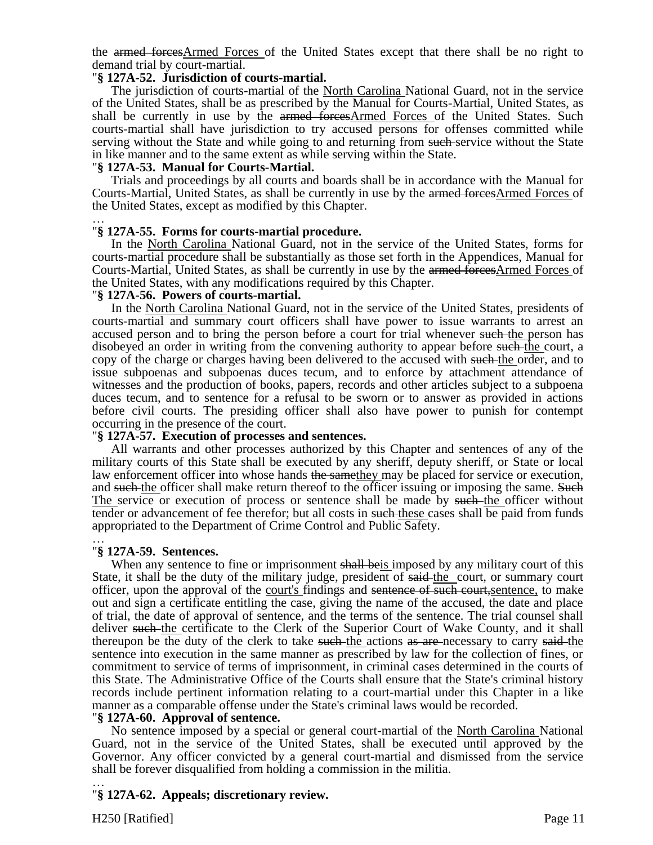the armed forcesArmed Forces of the United States except that there shall be no right to demand trial by court-martial.

## "**§ 127A-52. Jurisdiction of courts-martial.**

The jurisdiction of courts-martial of the North Carolina National Guard, not in the service of the United States, shall be as prescribed by the Manual for Courts-Martial, United States, as shall be currently in use by the armed forcesArmed Forces of the United States. Such courts-martial shall have jurisdiction to try accused persons for offenses committed while serving without the State and while going to and returning from such service without the State in like manner and to the same extent as while serving within the State.

### "**§ 127A-53. Manual for Courts-Martial.**

Trials and proceedings by all courts and boards shall be in accordance with the Manual for Courts-Martial, United States, as shall be currently in use by the armed forcesArmed Forces of the United States, except as modified by this Chapter.

#### … "**§ 127A-55. Forms for courts-martial procedure.**

In the North Carolina National Guard, not in the service of the United States, forms for courts-martial procedure shall be substantially as those set forth in the Appendices, Manual for Courts-Martial, United States, as shall be currently in use by the armed forcesArmed Forces of the United States, with any modifications required by this Chapter.

### "**§ 127A-56. Powers of courts-martial.**

In the North Carolina National Guard, not in the service of the United States, presidents of courts-martial and summary court officers shall have power to issue warrants to arrest an accused person and to bring the person before a court for trial whenever such the person has disobeyed an order in writing from the convening authority to appear before such the court, a copy of the charge or charges having been delivered to the accused with such the order, and to issue subpoenas and subpoenas duces tecum, and to enforce by attachment attendance of witnesses and the production of books, papers, records and other articles subject to a subpoena duces tecum, and to sentence for a refusal to be sworn or to answer as provided in actions before civil courts. The presiding officer shall also have power to punish for contempt occurring in the presence of the court.

#### "**§ 127A-57. Execution of processes and sentences.**

All warrants and other processes authorized by this Chapter and sentences of any of the military courts of this State shall be executed by any sheriff, deputy sheriff, or State or local law enforcement officer into whose hands the same they may be placed for service or execution, and such the officer shall make return thereof to the officer issuing or imposing the same. Such The service or execution of process or sentence shall be made by such the officer without tender or advancement of fee therefor; but all costs in such these cases shall be paid from funds appropriated to the Department of Crime Control and Public Safety.

#### … "**§ 127A-59. Sentences.**

When any sentence to fine or imprisonment shall be is imposed by any military court of this State, it shall be the duty of the military judge, president of said-the court, or summary court officer, upon the approval of the court's findings and sentence of such court,sentence, to make out and sign a certificate entitling the case, giving the name of the accused, the date and place of trial, the date of approval of sentence, and the terms of the sentence. The trial counsel shall deliver such the certificate to the Clerk of the Superior Court of Wake County, and it shall thereupon be the duty of the clerk to take such the actions as are necessary to carry said-the sentence into execution in the same manner as prescribed by law for the collection of fines, or commitment to service of terms of imprisonment, in criminal cases determined in the courts of this State. The Administrative Office of the Courts shall ensure that the State's criminal history records include pertinent information relating to a court-martial under this Chapter in a like manner as a comparable offense under the State's criminal laws would be recorded.

#### "**§ 127A-60. Approval of sentence.**

No sentence imposed by a special or general court-martial of the North Carolina National Guard, not in the service of the United States, shall be executed until approved by the Governor. Any officer convicted by a general court-martial and dismissed from the service shall be forever disqualified from holding a commission in the militia.

### … "**§ 127A-62. Appeals; discretionary review.**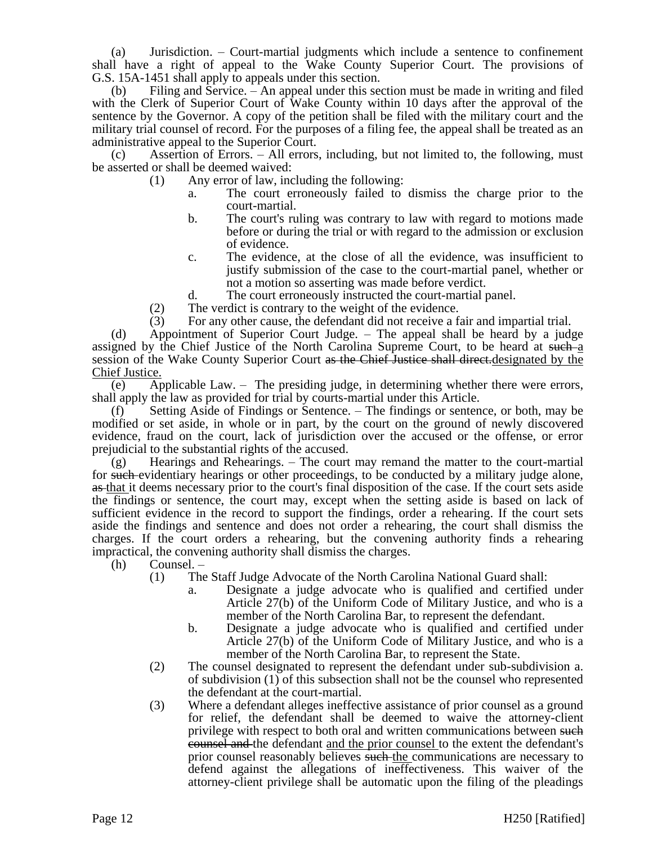(a) Jurisdiction. – Court-martial judgments which include a sentence to confinement shall have a right of appeal to the Wake County Superior Court. The provisions of G.S. 15A-1451 shall apply to appeals under this section.

(b) Filing and Service. – An appeal under this section must be made in writing and filed with the Clerk of Superior Court of Wake County within 10 days after the approval of the sentence by the Governor. A copy of the petition shall be filed with the military court and the military trial counsel of record. For the purposes of a filing fee, the appeal shall be treated as an administrative appeal to the Superior Court.

(c) Assertion of Errors. – All errors, including, but not limited to, the following, must be asserted or shall be deemed waived:

- (1) Any error of law, including the following:
	- a. The court erroneously failed to dismiss the charge prior to the court-martial.
	- b. The court's ruling was contrary to law with regard to motions made before or during the trial or with regard to the admission or exclusion of evidence.
	- c. The evidence, at the close of all the evidence, was insufficient to justify submission of the case to the court-martial panel, whether or not a motion so asserting was made before verdict.
	- d. The court erroneously instructed the court-martial panel.
- (2) The verdict is contrary to the weight of the evidence.
- (3) For any other cause, the defendant did not receive a fair and impartial trial.

(d) Appointment of Superior Court Judge. – The appeal shall be heard by a judge assigned by the Chief Justice of the North Carolina Supreme Court, to be heard at such a session of the Wake County Superior Court as the Chief Justice shall direct.designated by the Chief Justice.

(e) Applicable Law. – The presiding judge, in determining whether there were errors, shall apply the law as provided for trial by courts-martial under this Article.

(f) Setting Aside of Findings or Sentence. – The findings or sentence, or both, may be modified or set aside, in whole or in part, by the court on the ground of newly discovered evidence, fraud on the court, lack of jurisdiction over the accused or the offense, or error prejudicial to the substantial rights of the accused.

(g) Hearings and Rehearings. – The court may remand the matter to the court-martial for such evidentiary hearings or other proceedings, to be conducted by a military judge alone, as that it deems necessary prior to the court's final disposition of the case. If the court sets aside the findings or sentence, the court may, except when the setting aside is based on lack of sufficient evidence in the record to support the findings, order a rehearing. If the court sets aside the findings and sentence and does not order a rehearing, the court shall dismiss the charges. If the court orders a rehearing, but the convening authority finds a rehearing impractical, the convening authority shall dismiss the charges.

(h) Counsel. –

- (1) The Staff Judge Advocate of the North Carolina National Guard shall:
	- a. Designate a judge advocate who is qualified and certified under Article 27(b) of the Uniform Code of Military Justice, and who is a member of the North Carolina Bar, to represent the defendant.
	- b. Designate a judge advocate who is qualified and certified under Article 27(b) of the Uniform Code of Military Justice, and who is a member of the North Carolina Bar, to represent the State.
- (2) The counsel designated to represent the defendant under sub-subdivision a. of subdivision (1) of this subsection shall not be the counsel who represented the defendant at the court-martial.
- (3) Where a defendant alleges ineffective assistance of prior counsel as a ground for relief, the defendant shall be deemed to waive the attorney-client privilege with respect to both oral and written communications between such counsel and the defendant and the prior counsel to the extent the defendant's prior counsel reasonably believes such the communications are necessary to defend against the allegations of ineffectiveness. This waiver of the attorney-client privilege shall be automatic upon the filing of the pleadings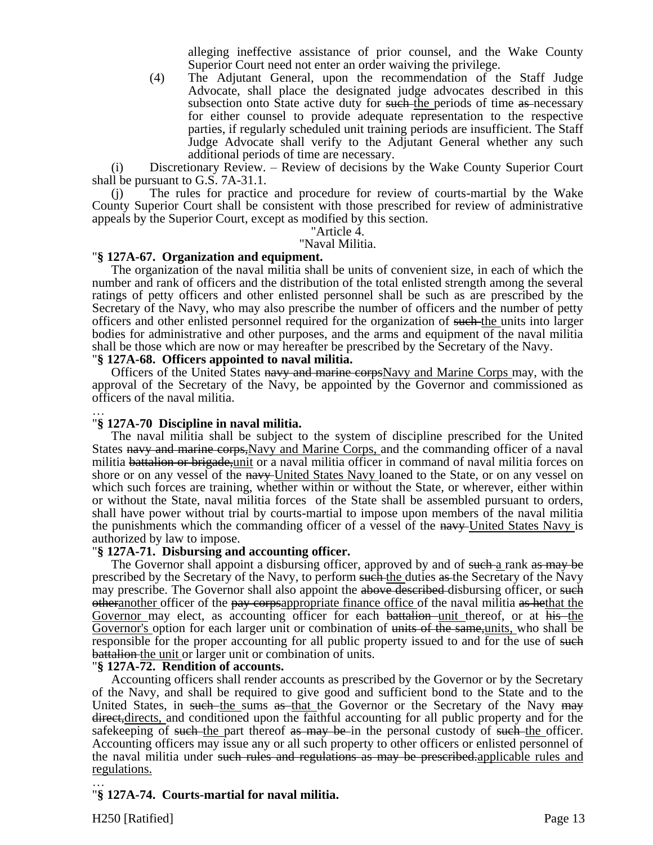alleging ineffective assistance of prior counsel, and the Wake County Superior Court need not enter an order waiving the privilege.

(4) The Adjutant General, upon the recommendation of the Staff Judge Advocate, shall place the designated judge advocates described in this subsection onto State active duty for such the periods of time as necessary for either counsel to provide adequate representation to the respective parties, if regularly scheduled unit training periods are insufficient. The Staff Judge Advocate shall verify to the Adjutant General whether any such additional periods of time are necessary.

(i) Discretionary Review. – Review of decisions by the Wake County Superior Court shall be pursuant to G.S. 7A-31.1.

(j) The rules for practice and procedure for review of courts-martial by the Wake County Superior Court shall be consistent with those prescribed for review of administrative appeals by the Superior Court, except as modified by this section.

"Article 4.

"Naval Militia.

### "**§ 127A-67. Organization and equipment.**

The organization of the naval militia shall be units of convenient size, in each of which the number and rank of officers and the distribution of the total enlisted strength among the several ratings of petty officers and other enlisted personnel shall be such as are prescribed by the Secretary of the Navy, who may also prescribe the number of officers and the number of petty officers and other enlisted personnel required for the organization of such the units into larger bodies for administrative and other purposes, and the arms and equipment of the naval militia shall be those which are now or may hereafter be prescribed by the Secretary of the Navy.

### "**§ 127A-68. Officers appointed to naval militia.**

Officers of the United States navy and marine corpsNavy and Marine Corps may, with the approval of the Secretary of the Navy, be appointed by the Governor and commissioned as officers of the naval militia.

### … "**§ 127A-70 Discipline in naval militia.**

The naval militia shall be subject to the system of discipline prescribed for the United States navy and marine corps,Navy and Marine Corps, and the commanding officer of a naval militia battalion or brigade, unit or a naval militia officer in command of naval militia forces on shore or on any vessel of the navy-United States Navy loaned to the State, or on any vessel on which such forces are training, whether within or without the State, or wherever, either within or without the State, naval militia forces of the State shall be assembled pursuant to orders, shall have power without trial by courts-martial to impose upon members of the naval militia the punishments which the commanding officer of a vessel of the navy-United States Navy is authorized by law to impose.

## "**§ 127A-71. Disbursing and accounting officer.**

The Governor shall appoint a disbursing officer, approved by and of such-a rank as may be prescribed by the Secretary of the Navy, to perform such the duties as the Secretary of the Navy may prescribe. The Governor shall also appoint the above described disbursing officer, or such otheranother officer of the pay corpsappropriate finance office of the naval militia as hethat the Governor may elect, as accounting officer for each battalion unit thereof, or at his the Governor's option for each larger unit or combination of units of the same, units, who shall be responsible for the proper accounting for all public property issued to and for the use of such battalion the unit or larger unit or combination of units.

#### "**§ 127A-72. Rendition of accounts.**

Accounting officers shall render accounts as prescribed by the Governor or by the Secretary of the Navy, and shall be required to give good and sufficient bond to the State and to the United States, in such the sums as that the Governor or the Secretary of the Navy may direct, directs, and conditioned upon the faithful accounting for all public property and for the safekeeping of such the part thereof as may be in the personal custody of such the officer. Accounting officers may issue any or all such property to other officers or enlisted personnel of the naval militia under such rules and regulations as may be prescribed.applicable rules and regulations.

### … "**§ 127A-74. Courts-martial for naval militia.**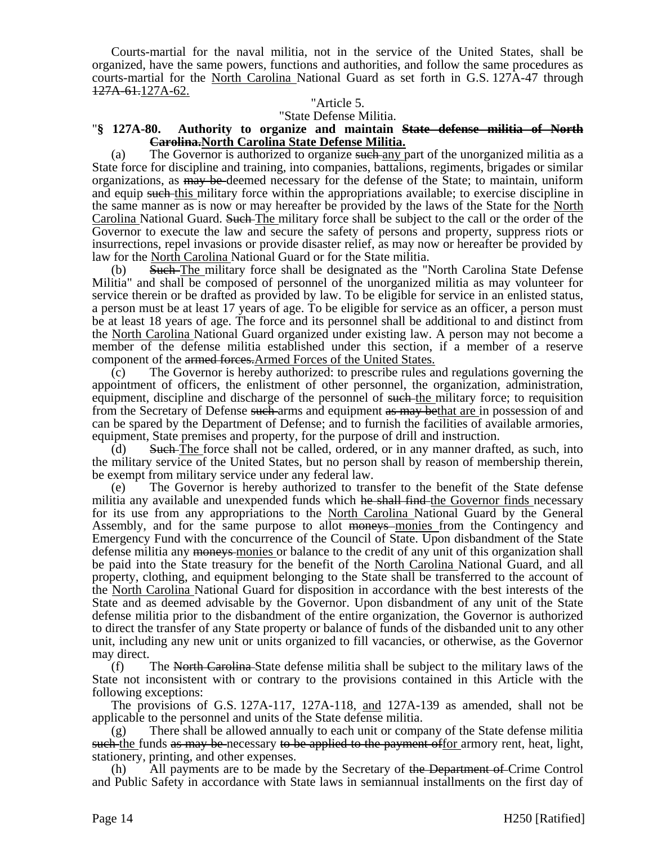Courts-martial for the naval militia, not in the service of the United States, shall be organized, have the same powers, functions and authorities, and follow the same procedures as courts-martial for the North Carolina National Guard as set forth in G.S. 127A-47 through 127A-61.127A-62.

### "Article 5.

#### "State Defense Militia.

## "**§ 127A-80. Authority to organize and maintain State defense militia of North Carolina.North Carolina State Defense Militia.**

(a) The Governor is authorized to organize such any part of the unorganized militia as a State force for discipline and training, into companies, battalions, regiments, brigades or similar organizations, as may be deemed necessary for the defense of the State; to maintain, uniform and equip such this military force within the appropriations available; to exercise discipline in the same manner as is now or may hereafter be provided by the laws of the State for the North Carolina National Guard. Such The military force shall be subject to the call or the order of the Governor to execute the law and secure the safety of persons and property, suppress riots or insurrections, repel invasions or provide disaster relief, as may now or hereafter be provided by law for the North Carolina National Guard or for the State militia.

(b) Such The military force shall be designated as the "North Carolina State Defense Militia" and shall be composed of personnel of the unorganized militia as may volunteer for service therein or be drafted as provided by law. To be eligible for service in an enlisted status, a person must be at least 17 years of age. To be eligible for service as an officer, a person must be at least 18 years of age. The force and its personnel shall be additional to and distinct from the North Carolina National Guard organized under existing law. A person may not become a member of the defense militia established under this section, if a member of a reserve component of the armed forces.Armed Forces of the United States.

(c) The Governor is hereby authorized: to prescribe rules and regulations governing the appointment of officers, the enlistment of other personnel, the organization, administration, equipment, discipline and discharge of the personnel of such the military force; to requisition from the Secretary of Defense such arms and equipment as may bethat are in possession of and can be spared by the Department of Defense; and to furnish the facilities of available armories, equipment, State premises and property, for the purpose of drill and instruction.

(d) Such The force shall not be called, ordered, or in any manner drafted, as such, into the military service of the United States, but no person shall by reason of membership therein, be exempt from military service under any federal law.

(e) The Governor is hereby authorized to transfer to the benefit of the State defense militia any available and unexpended funds which he shall find the Governor finds necessary for its use from any appropriations to the North Carolina National Guard by the General Assembly, and for the same purpose to allot <del>moneys</del> monies from the Contingency and Emergency Fund with the concurrence of the Council of State. Upon disbandment of the State defense militia any moneys-monies or balance to the credit of any unit of this organization shall be paid into the State treasury for the benefit of the North Carolina National Guard, and all property, clothing, and equipment belonging to the State shall be transferred to the account of the North Carolina National Guard for disposition in accordance with the best interests of the State and as deemed advisable by the Governor. Upon disbandment of any unit of the State defense militia prior to the disbandment of the entire organization, the Governor is authorized to direct the transfer of any State property or balance of funds of the disbanded unit to any other unit, including any new unit or units organized to fill vacancies, or otherwise, as the Governor may direct.

(f) The North Carolina State defense militia shall be subject to the military laws of the State not inconsistent with or contrary to the provisions contained in this Article with the following exceptions:

The provisions of G.S. 127A-117, 127A-118, and 127A-139 as amended, shall not be applicable to the personnel and units of the State defense militia.

(g) There shall be allowed annually to each unit or company of the State defense militia such the funds as may be necessary to be applied to the payment offor armory rent, heat, light, stationery, printing, and other expenses.

(h) All payments are to be made by the Secretary of the Department of Crime Control and Public Safety in accordance with State laws in semiannual installments on the first day of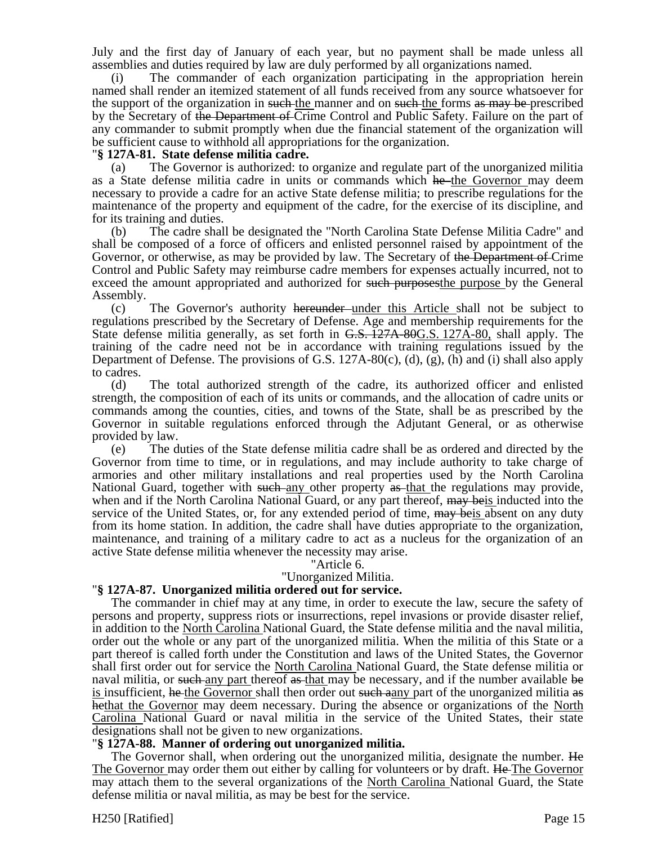July and the first day of January of each year, but no payment shall be made unless all assemblies and duties required by law are duly performed by all organizations named.

(i) The commander of each organization participating in the appropriation herein named shall render an itemized statement of all funds received from any source whatsoever for the support of the organization in such the manner and on such the forms as may be prescribed by the Secretary of the Department of Crime Control and Public Safety. Failure on the part of any commander to submit promptly when due the financial statement of the organization will be sufficient cause to withhold all appropriations for the organization.

## "**§ 127A-81. State defense militia cadre.**

(a) The Governor is authorized: to organize and regulate part of the unorganized militia as a State defense militia cadre in units or commands which he the Governor may deem necessary to provide a cadre for an active State defense militia; to prescribe regulations for the maintenance of the property and equipment of the cadre, for the exercise of its discipline, and for its training and duties.

(b) The cadre shall be designated the "North Carolina State Defense Militia Cadre" and shall be composed of a force of officers and enlisted personnel raised by appointment of the Governor, or otherwise, as may be provided by law. The Secretary of the Department of Crime Control and Public Safety may reimburse cadre members for expenses actually incurred, not to exceed the amount appropriated and authorized for such purposes the purpose by the General Assembly.

(c) The Governor's authority hereunder under this Article shall not be subject to regulations prescribed by the Secretary of Defense. Age and membership requirements for the State defense militia generally, as set forth in G.S. 127A-80G.S. 127A-80, shall apply. The training of the cadre need not be in accordance with training regulations issued by the Department of Defense. The provisions of G.S. 127A-80(c), (d), (g), (h) and (i) shall also apply to cadres.

(d) The total authorized strength of the cadre, its authorized officer and enlisted strength, the composition of each of its units or commands, and the allocation of cadre units or commands among the counties, cities, and towns of the State, shall be as prescribed by the Governor in suitable regulations enforced through the Adjutant General, or as otherwise provided by law.

(e) The duties of the State defense militia cadre shall be as ordered and directed by the Governor from time to time, or in regulations, and may include authority to take charge of armories and other military installations and real properties used by the North Carolina National Guard, together with such any other property as that the regulations may provide, when and if the North Carolina National Guard, or any part thereof,  $\frac{m}{m}$  beis inducted into the service of the United States, or, for any extended period of time,  $\frac{may}{may}$  beis absent on any duty from its home station. In addition, the cadre shall have duties appropriate to the organization, maintenance, and training of a military cadre to act as a nucleus for the organization of an active State defense militia whenever the necessity may arise.

## "Article 6.

### "Unorganized Militia.

#### "**§ 127A-87. Unorganized militia ordered out for service.**

The commander in chief may at any time, in order to execute the law, secure the safety of persons and property, suppress riots or insurrections, repel invasions or provide disaster relief, in addition to the North Carolina National Guard, the State defense militia and the naval militia, order out the whole or any part of the unorganized militia. When the militia of this State or a part thereof is called forth under the Constitution and laws of the United States, the Governor shall first order out for service the North Carolina National Guard, the State defense militia or naval militia, or such any part thereof as that may be necessary, and if the number available be is insufficient, he the Governor shall then order out such a any part of the unorganized militia as hethat the Governor may deem necessary. During the absence or organizations of the North Carolina National Guard or naval militia in the service of the United States, their state designations shall not be given to new organizations.

#### "**§ 127A-88. Manner of ordering out unorganized militia.**

The Governor shall, when ordering out the unorganized militia, designate the number. He The Governor may order them out either by calling for volunteers or by draft. He The Governor may attach them to the several organizations of the North Carolina National Guard, the State defense militia or naval militia, as may be best for the service.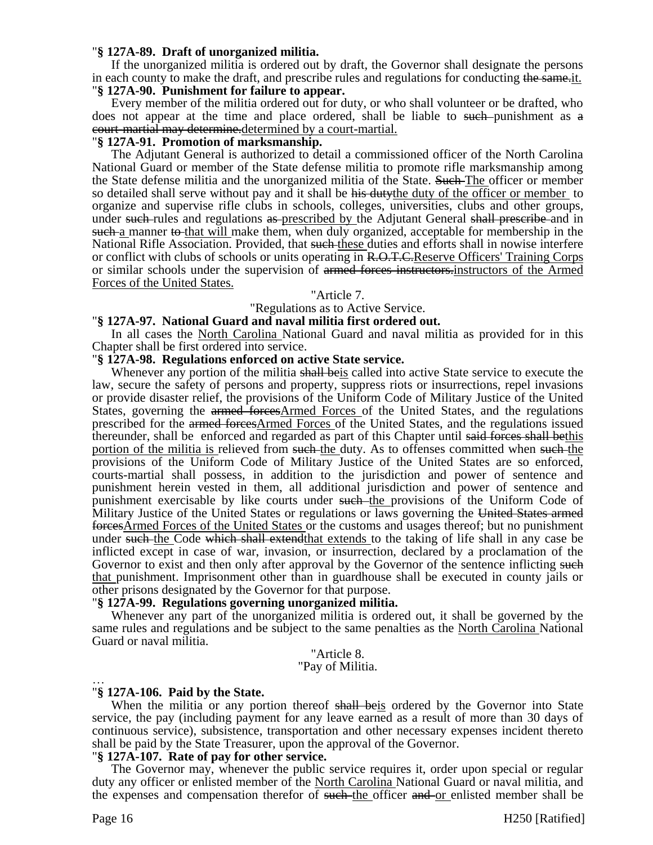### "**§ 127A-89. Draft of unorganized militia.**

If the unorganized militia is ordered out by draft, the Governor shall designate the persons in each county to make the draft, and prescribe rules and regulations for conducting the same-it. "**§ 127A-90. Punishment for failure to appear.**

Every member of the militia ordered out for duty, or who shall volunteer or be drafted, who does not appear at the time and place ordered, shall be liable to such punishment as a court-martial may determine.determined by a court-martial.

### "**§ 127A-91. Promotion of marksmanship.**

The Adjutant General is authorized to detail a commissioned officer of the North Carolina National Guard or member of the State defense militia to promote rifle marksmanship among the State defense militia and the unorganized militia of the State. Such The officer or member so detailed shall serve without pay and it shall be his dutythe duty of the officer or member to organize and supervise rifle clubs in schools, colleges, universities, clubs and other groups, under such rules and regulations as prescribed by the Adjutant General shall prescribe and in such a manner to that will make them, when duly organized, acceptable for membership in the National Rifle Association. Provided, that such these duties and efforts shall in nowise interfere or conflict with clubs of schools or units operating in R.O.T.C.Reserve Officers' Training Corps or similar schools under the supervision of armed forces instructors.instructors of the Armed Forces of the United States.

### "Article 7.

"Regulations as to Active Service.

#### "**§ 127A-97. National Guard and naval militia first ordered out.**

In all cases the North Carolina National Guard and naval militia as provided for in this Chapter shall be first ordered into service.

#### "**§ 127A-98. Regulations enforced on active State service.**

Whenever any portion of the militia shall beis called into active State service to execute the law, secure the safety of persons and property, suppress riots or insurrections, repel invasions or provide disaster relief, the provisions of the Uniform Code of Military Justice of the United States, governing the armed forcesArmed Forces of the United States, and the regulations prescribed for the armed forcesArmed Forces of the United States, and the regulations issued thereunder, shall be enforced and regarded as part of this Chapter until said forces shall bethis portion of the militia is relieved from such the duty. As to offenses committed when such the provisions of the Uniform Code of Military Justice of the United States are so enforced, courts-martial shall possess, in addition to the jurisdiction and power of sentence and punishment herein vested in them, all additional jurisdiction and power of sentence and punishment exercisable by like courts under such the provisions of the Uniform Code of Military Justice of the United States or regulations or laws governing the United States armed forcesArmed Forces of the United States or the customs and usages thereof; but no punishment under such the Code which shall extend that extends to the taking of life shall in any case be inflicted except in case of war, invasion, or insurrection, declared by a proclamation of the Governor to exist and then only after approval by the Governor of the sentence inflicting such that punishment. Imprisonment other than in guardhouse shall be executed in county jails or other prisons designated by the Governor for that purpose.

#### "**§ 127A-99. Regulations governing unorganized militia.**

Whenever any part of the unorganized militia is ordered out, it shall be governed by the same rules and regulations and be subject to the same penalties as the North Carolina National Guard or naval militia.

### "Article 8. "Pay of Militia.

#### … "**§ 127A-106. Paid by the State.**

When the militia or any portion thereof shall beis ordered by the Governor into State service, the pay (including payment for any leave earned as a result of more than 30 days of continuous service), subsistence, transportation and other necessary expenses incident thereto shall be paid by the State Treasurer, upon the approval of the Governor.

## "**§ 127A-107. Rate of pay for other service.**

The Governor may, whenever the public service requires it, order upon special or regular duty any officer or enlisted member of the North Carolina National Guard or naval militia, and the expenses and compensation therefor of such the officer and or enlisted member shall be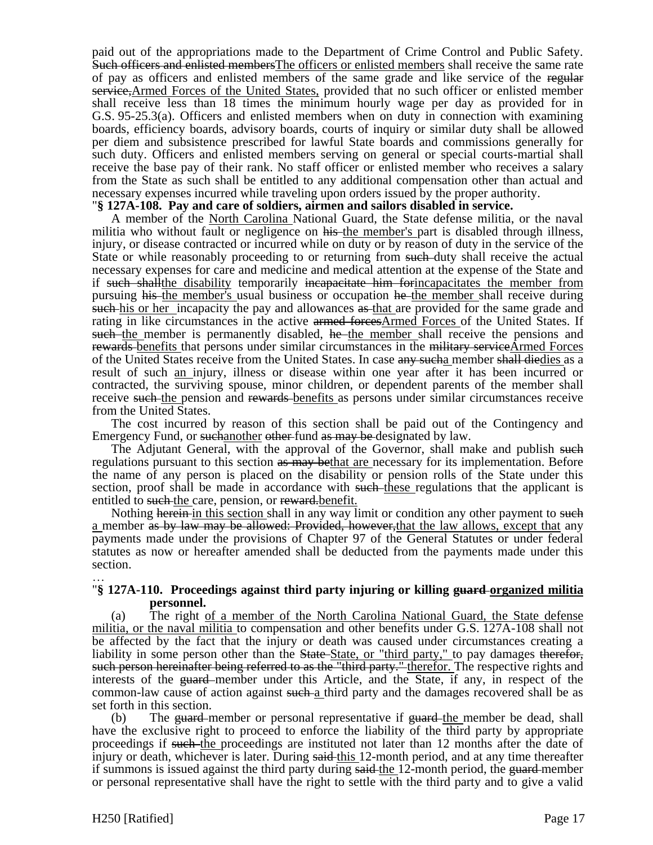paid out of the appropriations made to the Department of Crime Control and Public Safety. Such officers and enlisted membersThe officers or enlisted members shall receive the same rate of pay as officers and enlisted members of the same grade and like service of the regular service,Armed Forces of the United States, provided that no such officer or enlisted member shall receive less than 18 times the minimum hourly wage per day as provided for in G.S. 95-25.3(a). Officers and enlisted members when on duty in connection with examining boards, efficiency boards, advisory boards, courts of inquiry or similar duty shall be allowed per diem and subsistence prescribed for lawful State boards and commissions generally for such duty. Officers and enlisted members serving on general or special courts-martial shall receive the base pay of their rank. No staff officer or enlisted member who receives a salary from the State as such shall be entitled to any additional compensation other than actual and necessary expenses incurred while traveling upon orders issued by the proper authority.

### "**§ 127A-108. Pay and care of soldiers, airmen and sailors disabled in service.**

A member of the North Carolina National Guard, the State defense militia, or the naval militia who without fault or negligence on his the member's part is disabled through illness, injury, or disease contracted or incurred while on duty or by reason of duty in the service of the State or while reasonably proceeding to or returning from such duty shall receive the actual necessary expenses for care and medicine and medical attention at the expense of the State and if such shall the disability temporarily incapacitate him for incapacitates the member from pursuing his the member's usual business or occupation he the member shall receive during such his or her incapacity the pay and allowances as that are provided for the same grade and rating in like circumstances in the active armed forcesArmed Forces of the United States. If such the member is permanently disabled, he the member shall receive the pensions and rewards benefits that persons under similar circumstances in the military serviceArmed Forces of the United States receive from the United States. In case any such a member shall diedies as a result of such an injury, illness or disease within one year after it has been incurred or contracted, the surviving spouse, minor children, or dependent parents of the member shall receive such the pension and rewards benefits as persons under similar circumstances receive from the United States.

The cost incurred by reason of this section shall be paid out of the Contingency and Emergency Fund, or suchanother other fund as may be designated by law.

The Adjutant General, with the approval of the Governor, shall make and publish such regulations pursuant to this section as may bethat are necessary for its implementation. Before the name of any person is placed on the disability or pension rolls of the State under this section, proof shall be made in accordance with such these regulations that the applicant is entitled to such the care, pension, or reward-benefit.

Nothing herein in this section shall in any way limit or condition any other payment to such a member as by law may be allowed: Provided, however, that the law allows, except that any payments made under the provisions of Chapter 97 of the General Statutes or under federal statutes as now or hereafter amended shall be deducted from the payments made under this section.

### … "**§ 127A-110. Proceedings against third party injuring or killing guard organized militia personnel.**

(a) The right of a member of the North Carolina National Guard, the State defense militia, or the naval militia to compensation and other benefits under G.S. 127A-108 shall not be affected by the fact that the injury or death was caused under circumstances creating a liability in some person other than the State-State, or "third party," to pay damages therefor, such person hereinafter being referred to as the "third party." therefor. The respective rights and interests of the guard member under this Article, and the State, if any, in respect of the common-law cause of action against such a third party and the damages recovered shall be as set forth in this section.

(b) The  $\frac{1}{2}$  The  $\frac{1}{2}$  member or personal representative if  $\frac{1}{2}$  the member be dead, shall have the exclusive right to proceed to enforce the liability of the third party by appropriate proceedings if such the proceedings are instituted not later than 12 months after the date of injury or death, whichever is later. During said-this 12-month period, and at any time thereafter if summons is issued against the third party during said-the 12-month period, the guard-member or personal representative shall have the right to settle with the third party and to give a valid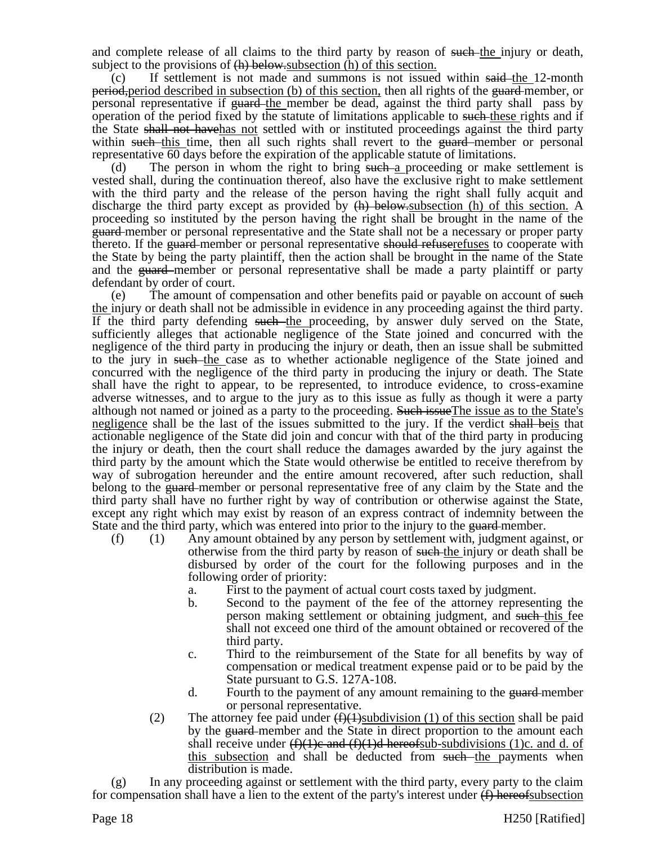and complete release of all claims to the third party by reason of such-the injury or death, subject to the provisions of  $(h)$  below-subsection (h) of this section.

If settlement is not made and summons is not issued within said-the 12-month period, period described in subsection (b) of this section, then all rights of the guard member, or personal representative if <del>guard</del>-the member be dead, against the third party shall pass by operation of the period fixed by the statute of limitations applicable to such these rights and if the State shall not havehas not settled with or instituted proceedings against the third party within such this time, then all such rights shall revert to the guard member or personal representative 60 days before the expiration of the applicable statute of limitations.

(d) The person in whom the right to bring such a proceeding or make settlement is vested shall, during the continuation thereof, also have the exclusive right to make settlement with the third party and the release of the person having the right shall fully acquit and discharge the third party except as provided by  $\langle h \rangle$  below-subsection (h) of this section. A proceeding so instituted by the person having the right shall be brought in the name of the guard member or personal representative and the State shall not be a necessary or proper party thereto. If the guard-member or personal representative should refuserefuses to cooperate with the State by being the party plaintiff, then the action shall be brought in the name of the State and the guard-member or personal representative shall be made a party plaintiff or party defendant by order of court.

(e) The amount of compensation and other benefits paid or payable on account of such the injury or death shall not be admissible in evidence in any proceeding against the third party. If the third party defending such the proceeding, by answer duly served on the State, sufficiently alleges that actionable negligence of the State joined and concurred with the negligence of the third party in producing the injury or death, then an issue shall be submitted to the jury in such the case as to whether actionable negligence of the State joined and concurred with the negligence of the third party in producing the injury or death. The State shall have the right to appear, to be represented, to introduce evidence, to cross-examine adverse witnesses, and to argue to the jury as to this issue as fully as though it were a party although not named or joined as a party to the proceeding. Such issue The issue as to the State's negligence shall be the last of the issues submitted to the jury. If the verdict shall beis that actionable negligence of the State did join and concur with that of the third party in producing the injury or death, then the court shall reduce the damages awarded by the jury against the third party by the amount which the State would otherwise be entitled to receive therefrom by way of subrogation hereunder and the entire amount recovered, after such reduction, shall belong to the guard-member or personal representative free of any claim by the State and the third party shall have no further right by way of contribution or otherwise against the State, except any right which may exist by reason of an express contract of indemnity between the State and the third party, which was entered into prior to the injury to the guard-member.

- (f) (1) Any amount obtained by any person by settlement with, judgment against, or otherwise from the third party by reason of such the injury or death shall be disbursed by order of the court for the following purposes and in the following order of priority:
	- a. First to the payment of actual court costs taxed by judgment.
	- b. Second to the payment of the fee of the attorney representing the person making settlement or obtaining judgment, and such this fee shall not exceed one third of the amount obtained or recovered of the third party.
	- c. Third to the reimbursement of the State for all benefits by way of compensation or medical treatment expense paid or to be paid by the State pursuant to G.S. 127A-108.
	- d. Fourth to the payment of any amount remaining to the guard-member or personal representative.
	- (2) The attorney fee paid under  $(f)(1)$ subdivision (1) of this section shall be paid by the guard-member and the State in direct proportion to the amount each shall receive under  $(f)(1)e$  and  $(f)(1)d$  hereofsub-subdivisions (1)c. and d. of this subsection and shall be deducted from such the payments when distribution is made.

In any proceeding against or settlement with the third party, every party to the claim for compensation shall have a lien to the extent of the party's interest under  $(f)$  hereofsubsection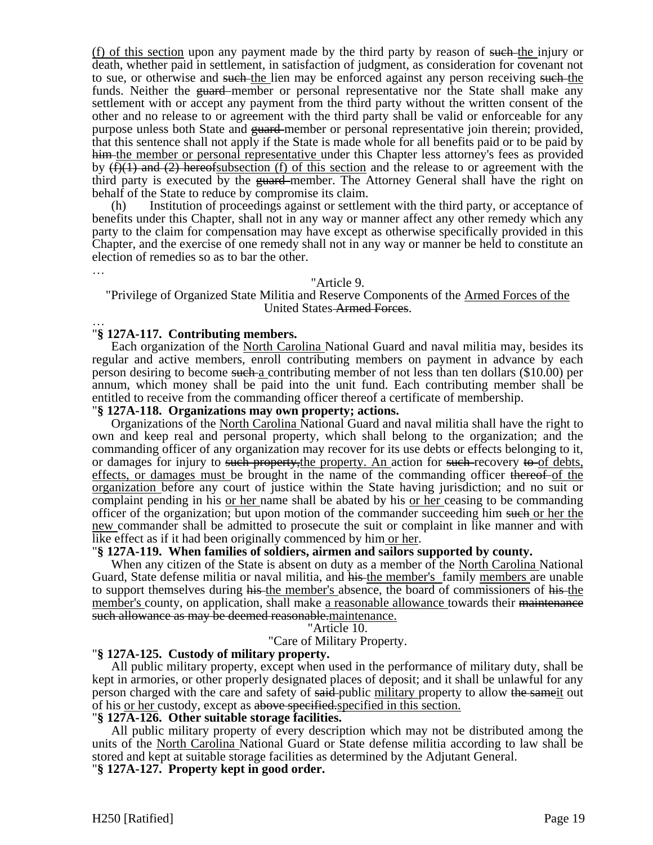(f) of this section upon any payment made by the third party by reason of such-the injury or death, whether paid in settlement, in satisfaction of judgment, as consideration for covenant not to sue, or otherwise and such the lien may be enforced against any person receiving such the funds. Neither the guard member or personal representative nor the State shall make any settlement with or accept any payment from the third party without the written consent of the other and no release to or agreement with the third party shall be valid or enforceable for any purpose unless both State and <del>guard</del>-member or personal representative join therein; provided, that this sentence shall not apply if the State is made whole for all benefits paid or to be paid by him the member or personal representative under this Chapter less attorney's fees as provided by  $(f)(1)$  and  $(2)$  hereofsubsection (f) of this section and the release to or agreement with the third party is executed by the guard-member. The Attorney General shall have the right on behalf of the State to reduce by compromise its claim.

(h) Institution of proceedings against or settlement with the third party, or acceptance of benefits under this Chapter, shall not in any way or manner affect any other remedy which any party to the claim for compensation may have except as otherwise specifically provided in this Chapter, and the exercise of one remedy shall not in any way or manner be held to constitute an election of remedies so as to bar the other.

### "Article 9.

### "Privilege of Organized State Militia and Reserve Components of the Armed Forces of the United States Armed Forces.

### … "**§ 127A-117. Contributing members.**

…

Each organization of the North Carolina National Guard and naval militia may, besides its regular and active members, enroll contributing members on payment in advance by each person desiring to become such a contributing member of not less than ten dollars (\$10.00) per annum, which money shall be paid into the unit fund. Each contributing member shall be entitled to receive from the commanding officer thereof a certificate of membership.

#### "**§ 127A-118. Organizations may own property; actions.**

Organizations of the North Carolina National Guard and naval militia shall have the right to own and keep real and personal property, which shall belong to the organization; and the commanding officer of any organization may recover for its use debts or effects belonging to it, or damages for injury to such property, the property. An action for such recovery to of debts, effects, or damages must be brought in the name of the commanding officer thereof of the organization before any court of justice within the State having jurisdiction; and no suit or complaint pending in his or her name shall be abated by his or her ceasing to be commanding officer of the organization; but upon motion of the commander succeeding him such or her the new commander shall be admitted to prosecute the suit or complaint in like manner and with like effect as if it had been originally commenced by him or her.

#### "**§ 127A-119. When families of soldiers, airmen and sailors supported by county.**

When any citizen of the State is absent on duty as a member of the North Carolina National Guard, State defense militia or naval militia, and his the member's family members are unable to support themselves during his the member's absence, the board of commissioners of his the member's county, on application, shall make a reasonable allowance towards their <del>maintenance</del> such allowance as may be deemed reasonable maintenance.

#### "Article 10.

#### "Care of Military Property.

#### "**§ 127A-125. Custody of military property.**

All public military property, except when used in the performance of military duty, shall be kept in armories, or other properly designated places of deposit; and it shall be unlawful for any person charged with the care and safety of said-public military property to allow the same it out of his or her custody, except as above specified.specified in this section.

#### "**§ 127A-126. Other suitable storage facilities.**

All public military property of every description which may not be distributed among the units of the North Carolina National Guard or State defense militia according to law shall be stored and kept at suitable storage facilities as determined by the Adjutant General. "**§ 127A-127. Property kept in good order.**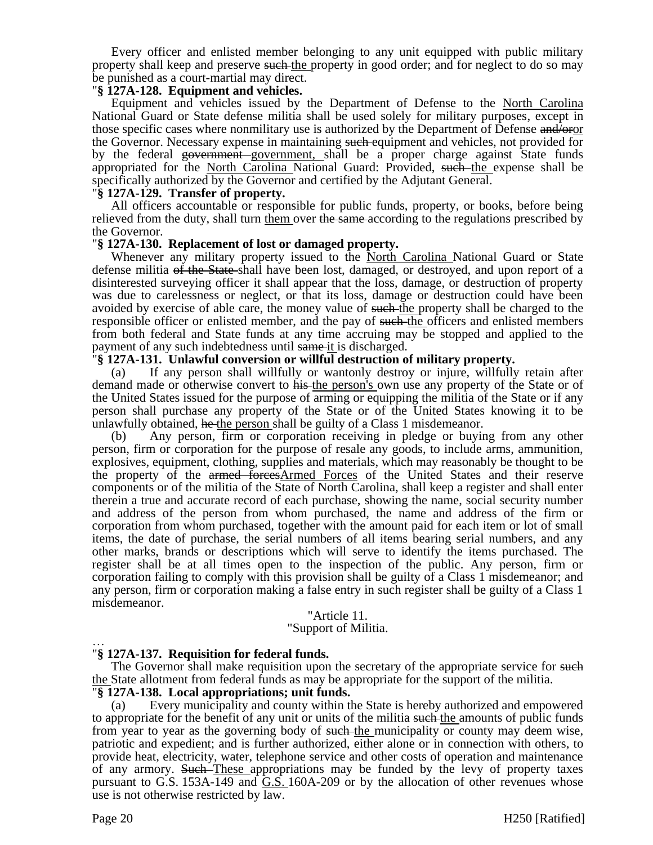Every officer and enlisted member belonging to any unit equipped with public military property shall keep and preserve such the property in good order; and for neglect to do so may be punished as a court-martial may direct.

### "**§ 127A-128. Equipment and vehicles.**

Equipment and vehicles issued by the Department of Defense to the North Carolina National Guard or State defense militia shall be used solely for military purposes, except in those specific cases where nonmilitary use is authorized by the Department of Defense and/oror the Governor. Necessary expense in maintaining such equipment and vehicles, not provided for by the federal government government, shall be a proper charge against State funds appropriated for the North Carolina National Guard: Provided, such the expense shall be specifically authorized by the Governor and certified by the Adjutant General.

### "**§ 127A-129. Transfer of property.**

All officers accountable or responsible for public funds, property, or books, before being relieved from the duty, shall turn them over the same-according to the regulations prescribed by the Governor.

### "**§ 127A-130. Replacement of lost or damaged property.**

Whenever any military property issued to the North Carolina National Guard or State defense militia of the State shall have been lost, damaged, or destroyed, and upon report of a disinterested surveying officer it shall appear that the loss, damage, or destruction of property was due to carelessness or neglect, or that its loss, damage or destruction could have been avoided by exercise of able care, the money value of such the property shall be charged to the responsible officer or enlisted member, and the pay of such the officers and enlisted members from both federal and State funds at any time accruing may be stopped and applied to the payment of any such indebtedness until same it is discharged.

### "**§ 127A-131. Unlawful conversion or willful destruction of military property.**

(a) If any person shall willfully or wantonly destroy or injure, willfully retain after demand made or otherwise convert to his the person's own use any property of the State or of the United States issued for the purpose of arming or equipping the militia of the State or if any person shall purchase any property of the State or of the United States knowing it to be unlawfully obtained, he the person shall be guilty of a Class 1 misdemeanor.

(b) Any person, firm or corporation receiving in pledge or buying from any other person, firm or corporation for the purpose of resale any goods, to include arms, ammunition, explosives, equipment, clothing, supplies and materials, which may reasonably be thought to be the property of the armed forcesArmed Forces of the United States and their reserve components or of the militia of the State of North Carolina, shall keep a register and shall enter therein a true and accurate record of each purchase, showing the name, social security number and address of the person from whom purchased, the name and address of the firm or corporation from whom purchased, together with the amount paid for each item or lot of small items, the date of purchase, the serial numbers of all items bearing serial numbers, and any other marks, brands or descriptions which will serve to identify the items purchased. The register shall be at all times open to the inspection of the public. Any person, firm or corporation failing to comply with this provision shall be guilty of a Class 1 misdemeanor; and any person, firm or corporation making a false entry in such register shall be guilty of a Class 1 misdemeanor.

## "Article 11.

"Support of Militia.

#### … "**§ 127A-137. Requisition for federal funds.**

The Governor shall make requisition upon the secretary of the appropriate service for such the State allotment from federal funds as may be appropriate for the support of the militia.

# "**§ 127A-138. Local appropriations; unit funds.**

(a) Every municipality and county within the State is hereby authorized and empowered to appropriate for the benefit of any unit or units of the militia such the amounts of public funds from year to year as the governing body of such the municipality or county may deem wise, patriotic and expedient; and is further authorized, either alone or in connection with others, to provide heat, electricity, water, telephone service and other costs of operation and maintenance of any armory. Such These appropriations may be funded by the levy of property taxes pursuant to G.S. 153A-149 and G.S. 160A-209 or by the allocation of other revenues whose use is not otherwise restricted by law.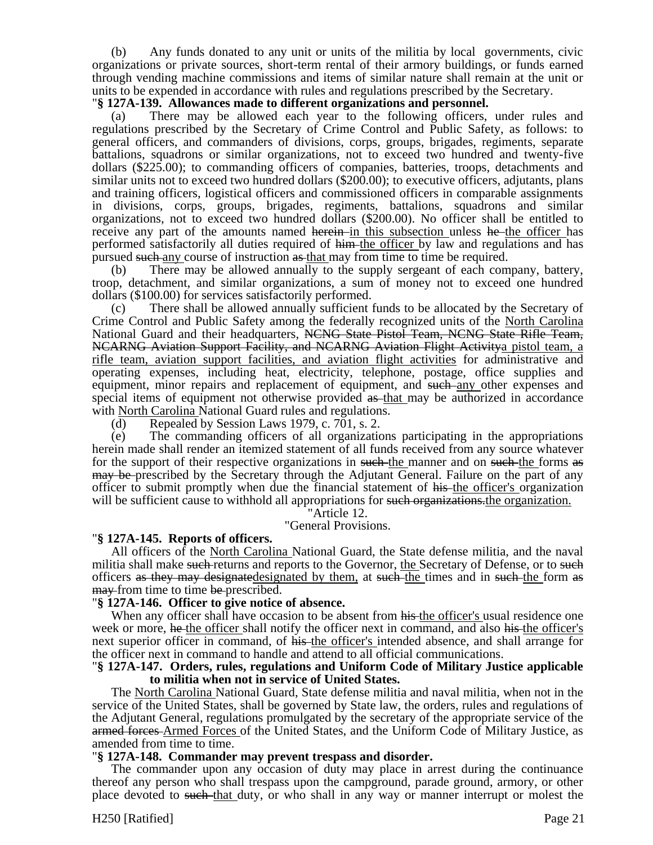(b) Any funds donated to any unit or units of the militia by local governments, civic organizations or private sources, short-term rental of their armory buildings, or funds earned through vending machine commissions and items of similar nature shall remain at the unit or units to be expended in accordance with rules and regulations prescribed by the Secretary.

## "**§ 127A-139. Allowances made to different organizations and personnel.**

(a) There may be allowed each year to the following officers, under rules and regulations prescribed by the Secretary of Crime Control and Public Safety, as follows: to general officers, and commanders of divisions, corps, groups, brigades, regiments, separate battalions, squadrons or similar organizations, not to exceed two hundred and twenty-five dollars (\$225.00); to commanding officers of companies, batteries, troops, detachments and similar units not to exceed two hundred dollars (\$200.00); to executive officers, adjutants, plans and training officers, logistical officers and commissioned officers in comparable assignments in divisions, corps, groups, brigades, regiments, battalions, squadrons and similar organizations, not to exceed two hundred dollars (\$200.00). No officer shall be entitled to receive any part of the amounts named herein in this subsection unless he-the officer has performed satisfactorily all duties required of him the officer by law and regulations and has pursued such any course of instruction as that may from time to time be required.

(b) There may be allowed annually to the supply sergeant of each company, battery, troop, detachment, and similar organizations, a sum of money not to exceed one hundred dollars (\$100.00) for services satisfactorily performed.

There shall be allowed annually sufficient funds to be allocated by the Secretary of Crime Control and Public Safety among the federally recognized units of the North Carolina National Guard and their headquarters, NCNG State Pistol Team, NCNG State Rifle Team, NCARNG Aviation Support Facility, and NCARNG Aviation Flight Activitya pistol team, a rifle team, aviation support facilities, and aviation flight activities for administrative and operating expenses, including heat, electricity, telephone, postage, office supplies and equipment, minor repairs and replacement of equipment, and such any other expenses and special items of equipment not otherwise provided as that may be authorized in accordance with North Carolina National Guard rules and regulations.

(d) Repealed by Session Laws 1979, c. 701, s. 2.

(e) The commanding officers of all organizations participating in the appropriations herein made shall render an itemized statement of all funds received from any source whatever for the support of their respective organizations in such the manner and on such the forms as may be prescribed by the Secretary through the Adjutant General. Failure on the part of any officer to submit promptly when due the financial statement of his-the officer's organization will be sufficient cause to withhold all appropriations for such organizations, the organization.

"Article 12.

"General Provisions.

## "**§ 127A-145. Reports of officers.**

All officers of the North Carolina National Guard, the State defense militia, and the naval militia shall make such returns and reports to the Governor, the Secretary of Defense, or to such officers as they may designatedesignated by them, at such the times and in such the form as may from time to time be prescribed.

## "**§ 127A-146. Officer to give notice of absence.**

When any officer shall have occasion to be absent from his the officer's usual residence one week or more, he the officer shall notify the officer next in command, and also his the officer's next superior officer in command, of his the officer's intended absence, and shall arrange for the officer next in command to handle and attend to all official communications.

### "**§ 127A-147. Orders, rules, regulations and Uniform Code of Military Justice applicable to militia when not in service of United States.**

The North Carolina National Guard, State defense militia and naval militia, when not in the service of the United States, shall be governed by State law, the orders, rules and regulations of the Adjutant General, regulations promulgated by the secretary of the appropriate service of the armed forces Armed Forces of the United States, and the Uniform Code of Military Justice, as amended from time to time.

## "**§ 127A-148. Commander may prevent trespass and disorder.**

The commander upon any occasion of duty may place in arrest during the continuance thereof any person who shall trespass upon the campground, parade ground, armory, or other place devoted to such that duty, or who shall in any way or manner interrupt or molest the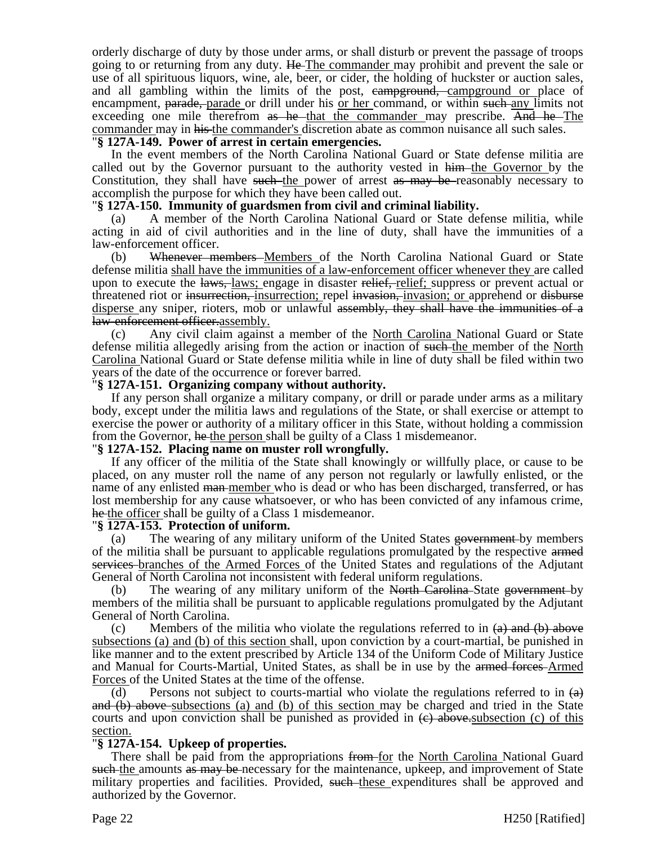orderly discharge of duty by those under arms, or shall disturb or prevent the passage of troops going to or returning from any duty. He-The commander may prohibit and prevent the sale or use of all spirituous liquors, wine, ale, beer, or cider, the holding of huckster or auction sales, and all gambling within the limits of the post, eampground, campground or place of encampment, parade, parade or drill under his or her command, or within such any limits not exceeding one mile therefrom as he that the commander may prescribe. And he The commander may in his the commander's discretion abate as common nuisance all such sales.

## "**§ 127A-149. Power of arrest in certain emergencies.**

In the event members of the North Carolina National Guard or State defense militia are called out by the Governor pursuant to the authority vested in him the Governor by the Constitution, they shall have such the power of arrest as may be reasonably necessary to accomplish the purpose for which they have been called out.

### "**§ 127A-150. Immunity of guardsmen from civil and criminal liability.**

(a) A member of the North Carolina National Guard or State defense militia, while acting in aid of civil authorities and in the line of duty, shall have the immunities of a law-enforcement officer.

(b) Whenever members Members of the North Carolina National Guard or State defense militia shall have the immunities of a law-enforcement officer whenever they are called upon to execute the laws, laws; engage in disaster relief, relief; suppress or prevent actual or threatened riot or insurrection, insurrection; repel invasion, invasion; or apprehend or disburse disperse any sniper, rioters, mob or unlawful assembly, they shall have the immunities of a law-enforcement officer.assembly.

(c) Any civil claim against a member of the North Carolina National Guard or State defense militia allegedly arising from the action or inaction of such the member of the North Carolina National Guard or State defense militia while in line of duty shall be filed within two years of the date of the occurrence or forever barred.

### "**§ 127A-151. Organizing company without authority.**

If any person shall organize a military company, or drill or parade under arms as a military body, except under the militia laws and regulations of the State, or shall exercise or attempt to exercise the power or authority of a military officer in this State, without holding a commission from the Governor, he-the person shall be guilty of a Class 1 misdemeanor.

#### "**§ 127A-152. Placing name on muster roll wrongfully.**

If any officer of the militia of the State shall knowingly or willfully place, or cause to be placed, on any muster roll the name of any person not regularly or lawfully enlisted, or the name of any enlisted man member who is dead or who has been discharged, transferred, or has lost membership for any cause whatsoever, or who has been convicted of any infamous crime, he the officer shall be guilty of a Class 1 misdemeanor.

#### "**§ 127A-153. Protection of uniform.**

(a) The wearing of any military uniform of the United States government by members of the militia shall be pursuant to applicable regulations promulgated by the respective armed services branches of the Armed Forces of the United States and regulations of the Adjutant General of North Carolina not inconsistent with federal uniform regulations.

(b) The wearing of any military uniform of the North Carolina–State government-by members of the militia shall be pursuant to applicable regulations promulgated by the Adjutant General of North Carolina.

(c) Members of the militia who violate the regulations referred to in  $(a)$  and  $(b)$  above subsections (a) and (b) of this section shall, upon conviction by a court-martial, be punished in like manner and to the extent prescribed by Article 134 of the Uniform Code of Military Justice and Manual for Courts-Martial, United States, as shall be in use by the armed forces-Armed Forces of the United States at the time of the offense.

(d) Persons not subject to courts-martial who violate the regulations referred to in  $\left(\frac{a}{b}\right)$ and (b) above subsections (a) and (b) of this section may be charged and tried in the State courts and upon conviction shall be punished as provided in  $\left(\frac{e}{c}\right)$  above. Subsection (c) of this section.

## "**§ 127A-154. Upkeep of properties.**

There shall be paid from the appropriations from for the North Carolina National Guard such the amounts as may be necessary for the maintenance, upkeep, and improvement of State military properties and facilities. Provided, such these expenditures shall be approved and authorized by the Governor.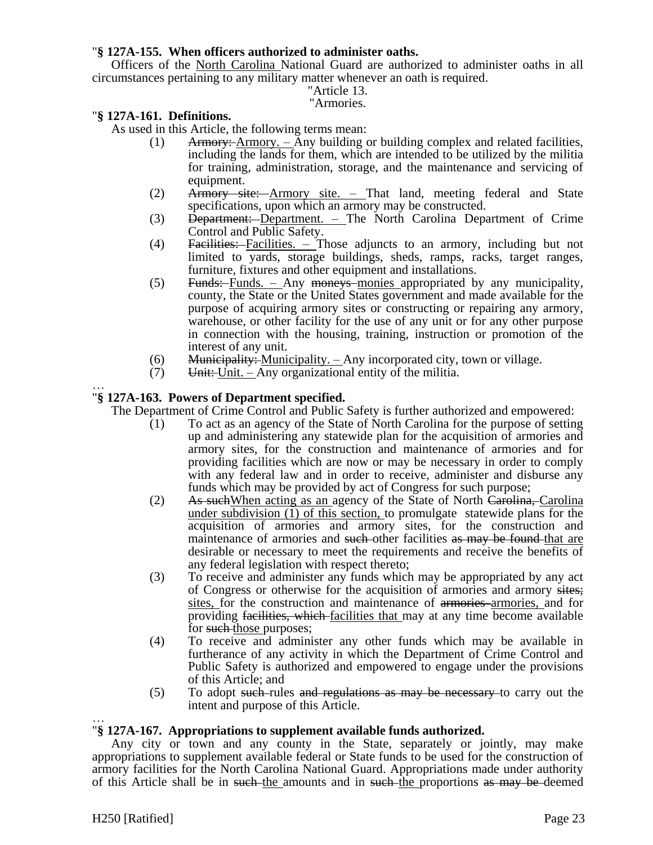## "**§ 127A-155. When officers authorized to administer oaths.**

Officers of the North Carolina National Guard are authorized to administer oaths in all circumstances pertaining to any military matter whenever an oath is required.

### "Article 13.

### "Armories.

### "**§ 127A-161. Definitions.**

As used in this Article, the following terms mean:

- (1) Armory:  $\Delta$ rmory.  $\Delta$ ny building or building complex and related facilities, including the lands for them, which are intended to be utilized by the militia for training, administration, storage, and the maintenance and servicing of equipment.
- (2) Armory site: Armory site. That land, meeting federal and State specifications, upon which an armory may be constructed.
- (3) Department: Department. The North Carolina Department of Crime Control and Public Safety.
- (4) Facilities: Facilities. Those adjuncts to an armory, including but not limited to yards, storage buildings, sheds, ramps, racks, target ranges, furniture, fixtures and other equipment and installations.
- (5) Funds: Funds. Any moneys monies appropriated by any municipality, county, the State or the United States government and made available for the purpose of acquiring armory sites or constructing or repairing any armory, warehouse, or other facility for the use of any unit or for any other purpose in connection with the housing, training, instruction or promotion of the interest of any unit.
- $(6)$  Municipality: Municipality. Any incorporated city, town or village.
- $(7)$  Unit: Unit. Any organizational entity of the militia.

#### … "**§ 127A-163. Powers of Department specified.**

The Department of Crime Control and Public Safety is further authorized and empowered:

- (1) To act as an agency of the State of North Carolina for the purpose of setting up and administering any statewide plan for the acquisition of armories and armory sites, for the construction and maintenance of armories and for providing facilities which are now or may be necessary in order to comply with any federal law and in order to receive, administer and disburse any funds which may be provided by act of Congress for such purpose;
- (2) As such When acting as an agency of the State of North Carolina, Carolina under subdivision (1) of this section, to promulgate statewide plans for the acquisition of armories and armory sites, for the construction and maintenance of armories and such-other facilities as may be found that are desirable or necessary to meet the requirements and receive the benefits of any federal legislation with respect thereto;
- (3) To receive and administer any funds which may be appropriated by any act of Congress or otherwise for the acquisition of armories and armory sites; sites, for the construction and maintenance of armories armories, and for providing facilities, which facilities that may at any time become available for such those purposes;
- (4) To receive and administer any other funds which may be available in furtherance of any activity in which the Department of Crime Control and Public Safety is authorized and empowered to engage under the provisions of this Article; and
- (5) To adopt such rules and regulations as may be necessary to carry out the intent and purpose of this Article.

### … "**§ 127A-167. Appropriations to supplement available funds authorized.**

Any city or town and any county in the State, separately or jointly, may make appropriations to supplement available federal or State funds to be used for the construction of armory facilities for the North Carolina National Guard. Appropriations made under authority of this Article shall be in such the amounts and in such the proportions as may be deemed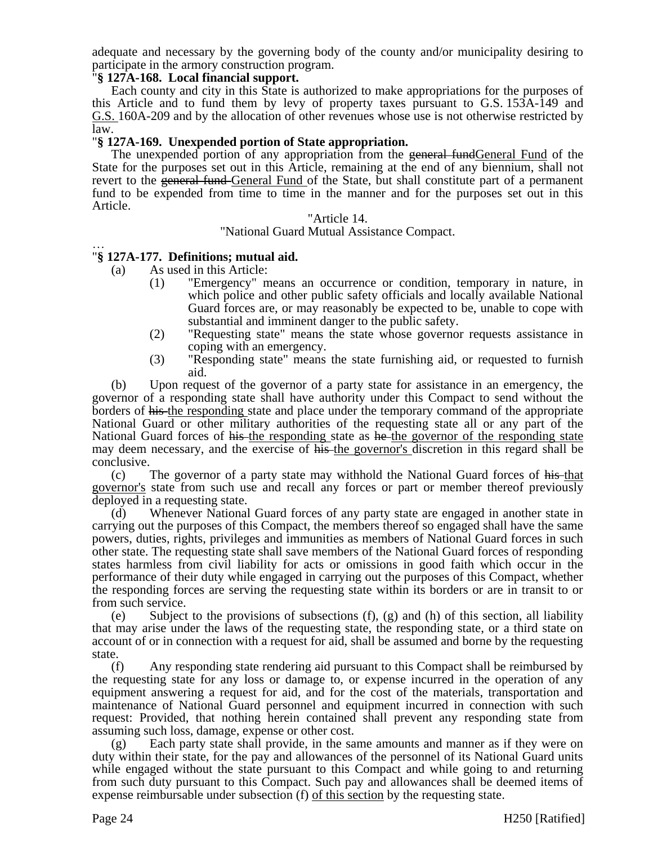adequate and necessary by the governing body of the county and/or municipality desiring to participate in the armory construction program.

### "**§ 127A-168. Local financial support.**

Each county and city in this State is authorized to make appropriations for the purposes of this Article and to fund them by levy of property taxes pursuant to G.S. 153A-149 and G.S. 160A-209 and by the allocation of other revenues whose use is not otherwise restricted by law.

## "**§ 127A-169. Unexpended portion of State appropriation.**

The unexpended portion of any appropriation from the general fundGeneral Fund of the State for the purposes set out in this Article, remaining at the end of any biennium, shall not revert to the general fund General Fund of the State, but shall constitute part of a permanent fund to be expended from time to time in the manner and for the purposes set out in this Article.

### "Article 14.

### "National Guard Mutual Assistance Compact.

#### … "**§ 127A-177. Definitions; mutual aid.**

- (a) As used in this Article:
	- (1) "Emergency" means an occurrence or condition, temporary in nature, in which police and other public safety officials and locally available National Guard forces are, or may reasonably be expected to be, unable to cope with substantial and imminent danger to the public safety.
	- (2) "Requesting state" means the state whose governor requests assistance in coping with an emergency.
	- (3) "Responding state" means the state furnishing aid, or requested to furnish aid.

(b) Upon request of the governor of a party state for assistance in an emergency, the governor of a responding state shall have authority under this Compact to send without the borders of his the responding state and place under the temporary command of the appropriate National Guard or other military authorities of the requesting state all or any part of the National Guard forces of his the responding state as he the governor of the responding state may deem necessary, and the exercise of his the governor's discretion in this regard shall be conclusive.

(c) The governor of a party state may withhold the National Guard forces of his that governor's state from such use and recall any forces or part or member thereof previously deployed in a requesting state.

(d) Whenever National Guard forces of any party state are engaged in another state in carrying out the purposes of this Compact, the members thereof so engaged shall have the same powers, duties, rights, privileges and immunities as members of National Guard forces in such other state. The requesting state shall save members of the National Guard forces of responding states harmless from civil liability for acts or omissions in good faith which occur in the performance of their duty while engaged in carrying out the purposes of this Compact, whether the responding forces are serving the requesting state within its borders or are in transit to or from such service.

(e) Subject to the provisions of subsections (f), (g) and (h) of this section, all liability that may arise under the laws of the requesting state, the responding state, or a third state on account of or in connection with a request for aid, shall be assumed and borne by the requesting state.

(f) Any responding state rendering aid pursuant to this Compact shall be reimbursed by the requesting state for any loss or damage to, or expense incurred in the operation of any equipment answering a request for aid, and for the cost of the materials, transportation and maintenance of National Guard personnel and equipment incurred in connection with such request: Provided, that nothing herein contained shall prevent any responding state from assuming such loss, damage, expense or other cost.

(g) Each party state shall provide, in the same amounts and manner as if they were on duty within their state, for the pay and allowances of the personnel of its National Guard units while engaged without the state pursuant to this Compact and while going to and returning from such duty pursuant to this Compact. Such pay and allowances shall be deemed items of expense reimbursable under subsection (f) of this section by the requesting state.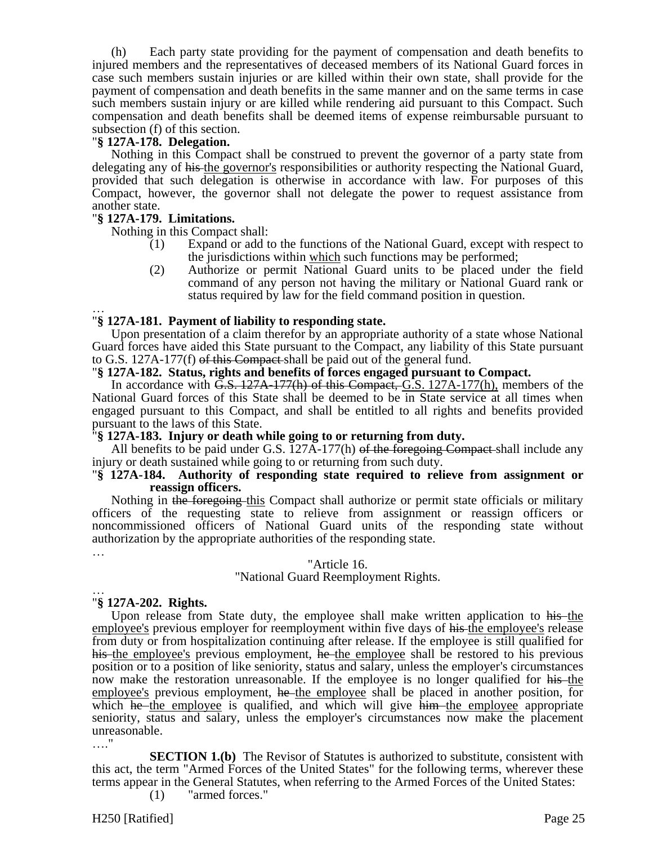(h) Each party state providing for the payment of compensation and death benefits to injured members and the representatives of deceased members of its National Guard forces in case such members sustain injuries or are killed within their own state, shall provide for the payment of compensation and death benefits in the same manner and on the same terms in case such members sustain injury or are killed while rendering aid pursuant to this Compact. Such compensation and death benefits shall be deemed items of expense reimbursable pursuant to subsection (f) of this section.

### "**§ 127A-178. Delegation.**

Nothing in this Compact shall be construed to prevent the governor of a party state from delegating any of his-the governor's responsibilities or authority respecting the National Guard, provided that such delegation is otherwise in accordance with law. For purposes of this Compact, however, the governor shall not delegate the power to request assistance from another state.

### "**§ 127A-179. Limitations.**

Nothing in this Compact shall:

- (1) Expand or add to the functions of the National Guard, except with respect to the jurisdictions within which such functions may be performed;
- (2) Authorize or permit National Guard units to be placed under the field command of any person not having the military or National Guard rank or status required by law for the field command position in question.

### … "**§ 127A-181. Payment of liability to responding state.**

Upon presentation of a claim therefor by an appropriate authority of a state whose National Guard forces have aided this State pursuant to the Compact, any liability of this State pursuant to G.S. 127A-177(f) of this Compact shall be paid out of the general fund.

### "**§ 127A-182. Status, rights and benefits of forces engaged pursuant to Compact.**

In accordance with <del>G.S. 127A-177(h) of this Compact, G</del>.S. 127A-177(h), members of the National Guard forces of this State shall be deemed to be in State service at all times when engaged pursuant to this Compact, and shall be entitled to all rights and benefits provided pursuant to the laws of this State.

## "**§ 127A-183. Injury or death while going to or returning from duty.**

All benefits to be paid under G.S.  $127A-177(h)$  of the foregoing Compact-shall include any injury or death sustained while going to or returning from such duty.

### "**§ 127A-184. Authority of responding state required to relieve from assignment or reassign officers.**

Nothing in the foregoing this Compact shall authorize or permit state officials or military officers of the requesting state to relieve from assignment or reassign officers or noncommissioned officers of National Guard units of the responding state without authorization by the appropriate authorities of the responding state.

## "Article 16.

## "National Guard Reemployment Rights.

#### … "**§ 127A-202. Rights.**

…

Upon release from State duty, the employee shall make written application to his the employee's previous employer for reemployment within five days of his-the employee's release from duty or from hospitalization continuing after release. If the employee is still qualified for his the employee's previous employment, he the employee shall be restored to his previous position or to a position of like seniority, status and salary, unless the employer's circumstances now make the restoration unreasonable. If the employee is no longer qualified for his-the employee's previous employment, he the employee shall be placed in another position, for which he the employee is qualified, and which will give him the employee appropriate seniority, status and salary, unless the employer's circumstances now make the placement unreasonable. …"

**SECTION 1.(b)** The Revisor of Statutes is authorized to substitute, consistent with this act, the term "Armed Forces of the United States" for the following terms, wherever these terms appear in the General Statutes, when referring to the Armed Forces of the United States:

(1) "armed forces."